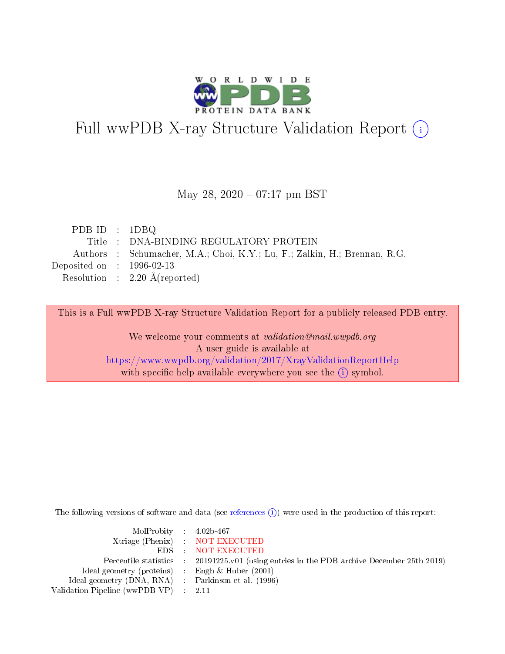

# Full wwPDB X-ray Structure Validation Report (i)

#### May 28, 2020 - 07:17 pm BST

| PDB ID : $1DBQ$             |                                                                           |
|-----------------------------|---------------------------------------------------------------------------|
|                             | Title : DNA-BINDING REGULATORY PROTEIN                                    |
|                             | Authors : Schumacher, M.A.; Choi, K.Y.; Lu, F.; Zalkin, H.; Brennan, R.G. |
| Deposited on : $1996-02-13$ |                                                                           |
|                             | Resolution : $2.20 \text{ Å}$ (reported)                                  |

This is a Full wwPDB X-ray Structure Validation Report for a publicly released PDB entry.

We welcome your comments at validation@mail.wwpdb.org A user guide is available at <https://www.wwpdb.org/validation/2017/XrayValidationReportHelp> with specific help available everywhere you see the  $(i)$  symbol.

The following versions of software and data (see [references](https://www.wwpdb.org/validation/2017/XrayValidationReportHelp#references)  $\overline{(1)}$ ) were used in the production of this report:

| $MolProbability$ 4.02b-467                          |                                                                                            |
|-----------------------------------------------------|--------------------------------------------------------------------------------------------|
|                                                     | Xtriage (Phenix) NOT EXECUTED                                                              |
|                                                     | EDS NOT EXECUTED                                                                           |
|                                                     | Percentile statistics : 20191225.v01 (using entries in the PDB archive December 25th 2019) |
| Ideal geometry (proteins) :                         | Engh & Huber $(2001)$                                                                      |
| Ideal geometry (DNA, RNA) : Parkinson et al. (1996) |                                                                                            |
| Validation Pipeline (wwPDB-VP) : 2.11               |                                                                                            |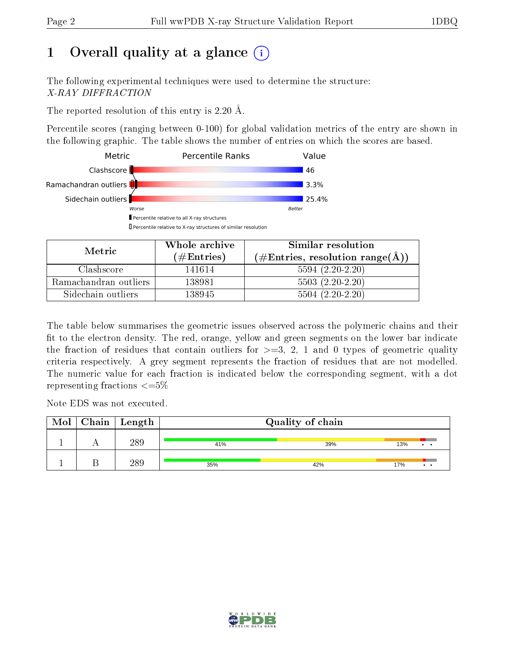## 1 [O](https://www.wwpdb.org/validation/2017/XrayValidationReportHelp#overall_quality)verall quality at a glance  $(i)$

The following experimental techniques were used to determine the structure: X-RAY DIFFRACTION

The reported resolution of this entry is 2.20 Å.

Percentile scores (ranging between 0-100) for global validation metrics of the entry are shown in the following graphic. The table shows the number of entries on which the scores are based.



| Metric                | Whole archive       | Similar resolution<br>$(\text{\#Entries, resolution range}(\text{\AA}))$ |  |  |
|-----------------------|---------------------|--------------------------------------------------------------------------|--|--|
|                       | (# $\rm{Entries}$ ) |                                                                          |  |  |
| Clashscore            | 141614              | $5594(2.20-2.20)$                                                        |  |  |
| Ramachandran outliers | 138981              | $5503(2.20-2.20)$                                                        |  |  |
| Sidechain outliers    | 138945              | $5504(2.20-2.20)$                                                        |  |  |

The table below summarises the geometric issues observed across the polymeric chains and their fit to the electron density. The red, orange, yellow and green segments on the lower bar indicate the fraction of residues that contain outliers for  $\geq=3$ , 2, 1 and 0 types of geometric quality criteria respectively. A grey segment represents the fraction of residues that are not modelled. The numeric value for each fraction is indicated below the corresponding segment, with a dot representing fractions  $\epsilon = 5\%$ 

Note EDS was not executed.

| Mol | Chain | Length | Quality of chain |     |     |                     |  |  |
|-----|-------|--------|------------------|-----|-----|---------------------|--|--|
|     |       | 289    | 41%              | 39% | 13% | $\bullet$ $\bullet$ |  |  |
|     |       | 289    | 35%              | 42% | 17% | $\cdot$ $\cdot$     |  |  |

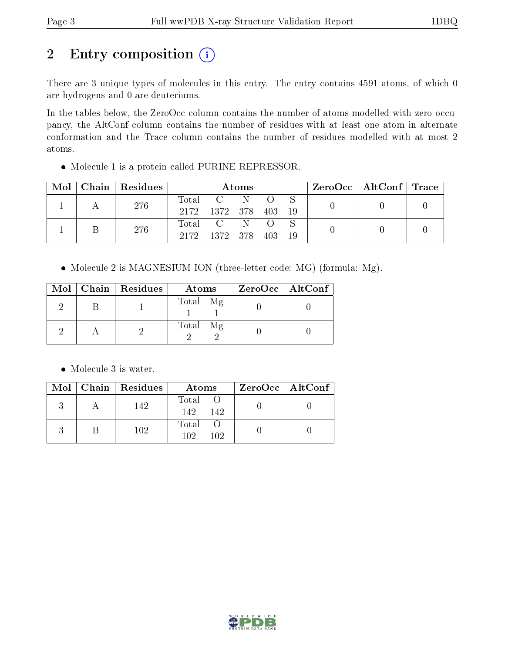## 2 Entry composition (i)

There are 3 unique types of molecules in this entry. The entry contains 4591 atoms, of which 0 are hydrogens and 0 are deuteriums.

In the tables below, the ZeroOcc column contains the number of atoms modelled with zero occupancy, the AltConf column contains the number of residues with at least one atom in alternate conformation and the Trace column contains the number of residues modelled with at most 2 atoms.

Molecule 1 is a protein called PURINE REPRESSOR.

| Mol | Chain   Residues | Atoms |                           |     |  | $\rm ZeroOcc \mid AltConf \mid Trace$ |  |  |
|-----|------------------|-------|---------------------------|-----|--|---------------------------------------|--|--|
|     | 276              | Total | 2172 1372 378 403         | - N |  | -19                                   |  |  |
|     | 276              | 2172  | Total C N<br>1372 378 403 |     |  | -19                                   |  |  |

• Molecule 2 is MAGNESIUM ION (three-letter code: MG) (formula: Mg).

|  | $Mol$   Chain   Residues | Atoms    | $ZeroOcc \   \ AltConf \  $ |
|--|--------------------------|----------|-----------------------------|
|  |                          | Total Mg |                             |
|  |                          | Total Mg |                             |

• Molecule 3 is water.

|  | $Mol$   Chain   Residues | Atoms                | ZeroOcc   AltConf |
|--|--------------------------|----------------------|-------------------|
|  | 142                      | Total<br>142.<br>142 |                   |
|  | 102                      | Total<br>102<br>102  |                   |

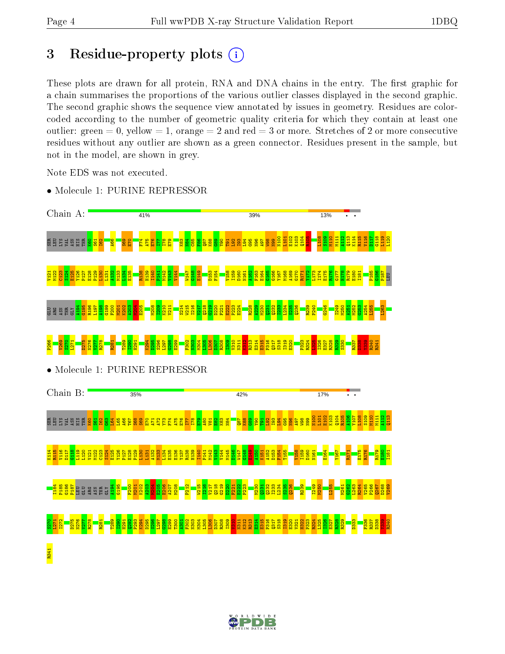## 3 Residue-property plots  $(i)$

These plots are drawn for all protein, RNA and DNA chains in the entry. The first graphic for a chain summarises the proportions of the various outlier classes displayed in the second graphic. The second graphic shows the sequence view annotated by issues in geometry. Residues are colorcoded according to the number of geometric quality criteria for which they contain at least one outlier: green  $= 0$ , yellow  $= 1$ , orange  $= 2$  and red  $= 3$  or more. Stretches of 2 or more consecutive residues without any outlier are shown as a green connector. Residues present in the sample, but not in the model, are shown in grey.

Note EDS was not executed.



• Molecule 1: PURINE REPRESSOR

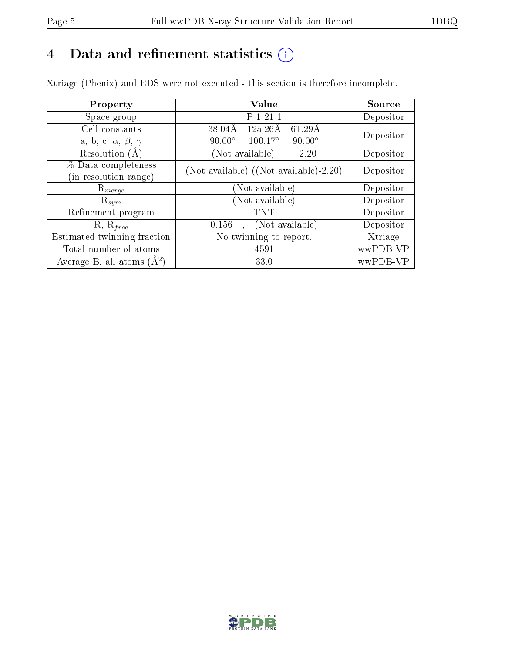## 4 Data and refinement statistics  $(i)$

Xtriage (Phenix) and EDS were not executed - this section is therefore incomplete.

| Property                               | Value                                              | Source    |  |
|----------------------------------------|----------------------------------------------------|-----------|--|
| Space group                            | P 1 21 1                                           | Depositor |  |
| Cell constants                         | $125.26\text{\AA}$<br>$61.29\text{\AA}$<br>38.04Å  | Depositor |  |
| a, b, c, $\alpha$ , $\beta$ , $\gamma$ | $100.17^{\circ}$<br>$90.00^\circ$<br>$90.00^\circ$ |           |  |
| Resolution $(A)$                       | (Not available)<br>2.20                            | Depositor |  |
| % Data completeness                    | (Not available) ((Not available)-2.20)             | Depositor |  |
| (in resolution range)                  |                                                    |           |  |
| $\mathrm{R}_{merge}$                   | (Not available)                                    | Depositor |  |
| $\mathrm{R}_{sym}$                     | (Not available)                                    | Depositor |  |
| Refinement program                     | TNT                                                | Depositor |  |
| $R, R_{free}$                          | (Not available)<br>0.156                           | Depositor |  |
| Estimated twinning fraction            | No twinning to report.                             | Xtriage   |  |
| Total number of atoms                  | 4591                                               | wwPDB-VP  |  |
| Average B, all atoms $(A^2)$           | 33.0                                               | wwPDB-VP  |  |

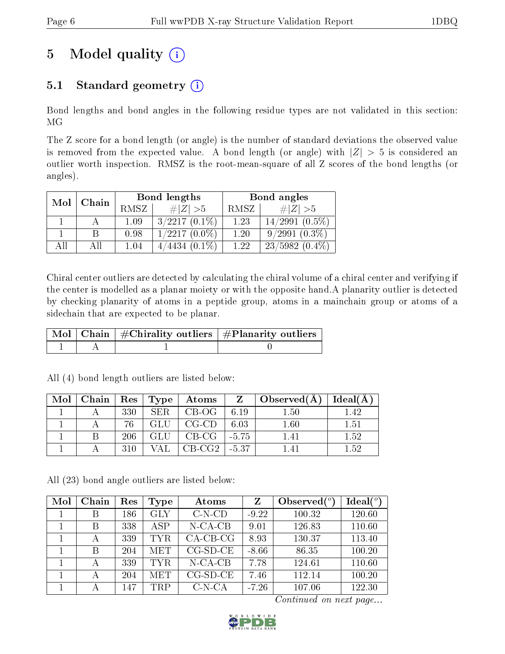## 5 Model quality  $(i)$

## 5.1 Standard geometry  $(i)$

Bond lengths and bond angles in the following residue types are not validated in this section: MG

The Z score for a bond length (or angle) is the number of standard deviations the observed value is removed from the expected value. A bond length (or angle) with  $|Z| > 5$  is considered an outlier worth inspection. RMSZ is the root-mean-square of all Z scores of the bond lengths (or angles).

| Mol | Chain |       | Bond lengths    | Bond angles |                     |  |
|-----|-------|-------|-----------------|-------------|---------------------|--|
|     |       | RMSZ. | # Z  > 5        | RMSZ        | $\ Z\  > 5$         |  |
|     |       | 1.09  | $3/2217(0.1\%)$ | 1.23        | $14/2991$ $(0.5\%)$ |  |
|     |       | 0.98  | $1/2217(0.0\%)$ | 1.20        | $9/2991(0.3\%)$     |  |
| АĦ  |       | 1.04  | $4/4434(0.1\%)$ | 1.22        | $23/5982(0.4\%)$    |  |

Chiral center outliers are detected by calculating the chiral volume of a chiral center and verifying if the center is modelled as a planar moiety or with the opposite hand.A planarity outlier is detected by checking planarity of atoms in a peptide group, atoms in a mainchain group or atoms of a sidechain that are expected to be planar.

|  | $\mid$ Mol $\mid$ Chain $\mid$ #Chirality outliers $\mid$ #Planarity outliers $^{\prime}$ |
|--|-------------------------------------------------------------------------------------------|
|  |                                                                                           |

| Mol | $\mid$ Chain $\mid$ Res $\mid$ Type |     |      | $\boldsymbol{\mathrm{Atoms}}$ | $Z - 1$ | $\pm$ Observed(A) $\pm$ | Ideal(A) |
|-----|-------------------------------------|-----|------|-------------------------------|---------|-------------------------|----------|
|     |                                     | 330 | SER. | $CB-OG$                       | 6.19    | 1.50                    | l 42     |
|     |                                     | 76  | GLU  | $CG$ - $CD$                   | 6.03    | 1.60                    | 1.51     |
|     |                                     | 206 | GLU  | $CB-CG$                       | $-5.75$ | 141                     | 1.52     |
|     |                                     | 310 |      | $CB-CG2$                      | -5.37   | –ட⊿ ட                   | 1.52     |

All (4) bond length outliers are listed below:

All (23) bond angle outliers are listed below:

| Mol | Chain | Res | <b>Type</b> | Atoms        | Z       | Observed $(°)$ | Ideal(°) |
|-----|-------|-----|-------------|--------------|---------|----------------|----------|
|     | B     | 186 | <b>GLY</b>  | $C-N$ - $CD$ | $-9.22$ | 100.32         | 120.60   |
|     | B     | 338 | <b>ASP</b>  | $N$ -CA-CB   | 9.01    | 126.83         | 110.60   |
|     |       | 339 | <b>TYR</b>  | $CA$ -CB-CG  | 8.93    | 130.37         | 113.40   |
|     | B     | 204 | <b>MET</b>  | $CG-SD-CE$   | $-8.66$ | 86.35          | 100.20   |
|     |       | 339 | <b>TYR</b>  | $N$ -CA-CB   | 7.78    | 124.61         | 110.60   |
|     | А     | 204 | MET         | $CG-SD-CE$   | 7.46    | 112.14         | 100.20   |
|     |       | 147 | <b>TRP</b>  | $C-N-CA$     | $-7.26$ | 107.06         | 122.30   |

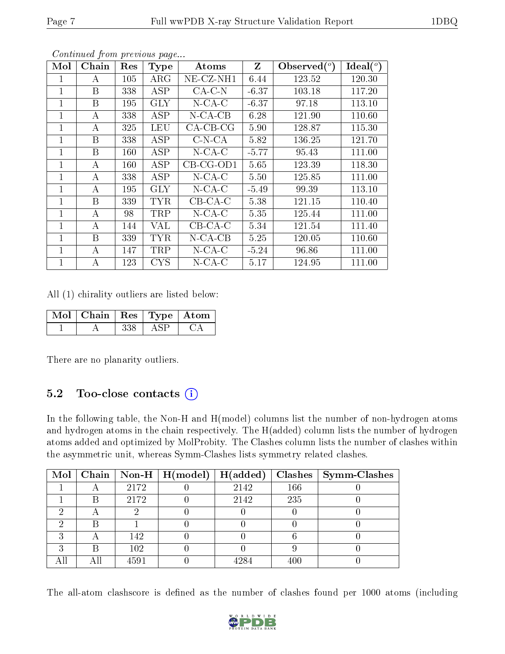| Mol            | Chain | Res | <b>Type</b> | Atoms        | Z       | $\lambda$ Observed $(°)$ | Ideal $(°)$ |
|----------------|-------|-----|-------------|--------------|---------|--------------------------|-------------|
|                | А     | 105 | $\rm{ARG}$  | $NE$ -CZ-NH1 | 6.44    | 123.52                   | 120.30      |
| 1              | B     | 338 | ASP         | $CA-C-N$     | $-6.37$ | 103.18                   | 117.20      |
| 1              | B     | 195 | <b>GLY</b>  | $N$ -CA-C    | $-6.37$ | 97.18                    | 113.10      |
| 1              | A     | 338 | <b>ASP</b>  | $N$ -CA-CB   | 6.28    | 121.90                   | 110.60      |
| 1              | А     | 325 | <b>LEU</b>  | $CA-CB-CG$   | 5.90    | 128.87                   | 115.30      |
| 1              | B     | 338 | ASP         | $C-N-CA$     | 5.82    | 136.25                   | 121.70      |
| 1              | B     | 160 | ASP         | $N$ -CA-C    | $-5.77$ | 95.43                    | 111.00      |
| 1              | A     | 160 | ASP         | $CB-CG-OD1$  | 5.65    | 123.39                   | 118.30      |
| 1              | А     | 338 | <b>ASP</b>  | $N$ -CA-C    | 5.50    | 125.85                   | 111.00      |
| $\overline{1}$ | A     | 195 | <b>GLY</b>  | $N$ -CA-C    | $-5.49$ | 99.39                    | 113.10      |
| 1              | B     | 339 | <b>TYR</b>  | $CB-CA-C$    | 5.38    | 121.15                   | 110.40      |
| 1              | А     | 98  | TRP         | $N$ -CA-C    | 5.35    | 125.44                   | 111.00      |
| 1              | А     | 144 | VAL         | $CB-CA-C$    | 5.34    | 121.54                   | 111.40      |
| 1              | B     | 339 | <b>TYR</b>  | $N$ -CA-CB   | 5.25    | 120.05                   | 110.60      |
| 1              | А     | 147 | TRP         | $N$ -CA-C    | $-5.24$ | 96.86                    | 111.00      |
| 1              | А     | 123 | <b>CYS</b>  | $N$ -CA-C    | 5.17    | 124.95                   | 111.00      |

All (1) chirality outliers are listed below:

| Mol   Chain   Res   Type   Atom |  |  |
|---------------------------------|--|--|
|                                 |  |  |

There are no planarity outliers.

#### 5.2 Too-close contacts  $(i)$

In the following table, the Non-H and H(model) columns list the number of non-hydrogen atoms and hydrogen atoms in the chain respectively. The H(added) column lists the number of hydrogen atoms added and optimized by MolProbity. The Clashes column lists the number of clashes within the asymmetric unit, whereas Symm-Clashes lists symmetry related clashes.

| Mol |     |      | Chain   Non-H   $H (model)$ | H(added) |     | $Clashes$   Symm-Clashes |
|-----|-----|------|-----------------------------|----------|-----|--------------------------|
|     |     | 2172 |                             | 2142     | 166 |                          |
|     | В   | 2172 |                             | 2142     | 235 |                          |
|     |     |      |                             |          |     |                          |
|     |     |      |                             |          |     |                          |
|     |     | 142  |                             |          |     |                          |
|     | В   | 102  |                             |          |     |                          |
|     | All | 4591 |                             |          | 400 |                          |

The all-atom clashscore is defined as the number of clashes found per 1000 atoms (including

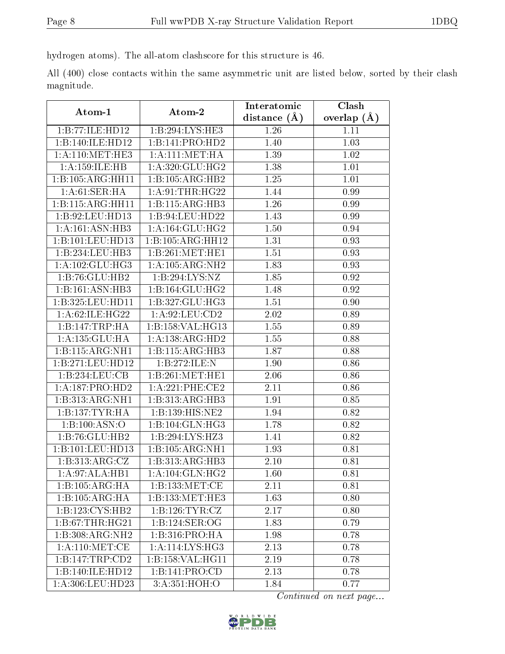hydrogen atoms). The all-atom clashscore for this structure is 46.

All (400) close contacts within the same asymmetric unit are listed below, sorted by their clash magnitude.

| Atom-1                       | Atom-2             | Interatomic      | Clash         |
|------------------------------|--------------------|------------------|---------------|
|                              |                    | distance $(\AA)$ | overlap $(A)$ |
| 1:B:77:ILE:HD12              | 1:B:294:LYS:HE3    | 1.26             | 1.11          |
| 1:B:140:ILE:HD12             | 1:B:141:PRO:HD2    | 1.40             | 1.03          |
| 1: A:110:MET:HE3             | 1: A:111: MET:HA   | 1.39             | 1.02          |
| 1:A:159:ILE:HB               | 1: A:320: GLU: HG2 | 1.38             | 1.01          |
| 1:B:105:ARG:HH11             | 1:B:105:ARG:HB2    | 1.25             | 1.01          |
| 1: A:61:SER:HA               | 1: A:91:THR:HG22   | 1.44             | 0.99          |
| 1:B:115:ARG:HH11             | 1:B:115:ARG:HB3    | 1.26             | 0.99          |
| 1:B:92:LEU:HD13              | 1:B:94:LEU:HD22    | 1.43             | 0.99          |
| 1: A:161: ASN:HB3            | 1: A:164: GLU: HG2 | 1.50             | 0.94          |
| 1:B:101:LEU:HD13             | 1:B:105:ARG:HH12   | 1.31             | 0.93          |
| 1:B:234:LEU:HB3              | 1:B:261:MET:HE1    | 1.51             | 0.93          |
| 1: A: 102: GLU: HG3          | 1:A:105:ARG:NH2    | 1.83             | 0.93          |
| 1:B:76:GLU:HB2               | 1:B:294:LYS:NZ     | 1.85             | 0.92          |
| 1:B:161:ASN:HB3              | 1:B:164:GLU:HG2    | 1.48             | 0.92          |
| 1:B:325:LEU:HD11             | 1:B:327:GLU:HG3    | 1.51             | 0.90          |
| 1:A:62:ILE:HG22              | 1: A:92: LEU:CD2   | 2.02             | 0.89          |
| 1:B:147:TRP:HA               | 1:B:158:VAL:HG13   | 1.55             | 0.89          |
| 1:A:135:GLU:HA               | 1:A:138:ARG:HD2    | 1.55             | 0.88          |
| 1:B:115:ARG:NH1              | 1:B:115:ARG:HB3    | 1.87             | 0.88          |
| 1:B:271:LEU:HD12             | 1:B:272:ILE:N      | 1.90             | 0.86          |
| 1:B:234:LEU:CB               | 1:B:261:MET:HE1    | 2.06             | 0.86          |
| 1:A:187:PRO:HD2              | 1:A:221:PHE:CE2    | 2.11             | 0.86          |
| 1:B:313:ARG:NH1              | 1:B:313:ARG:HB3    | 1.91             | 0.85          |
| 1:B:137:TYR:HA               | 1:B:139:HIS:NE2    | 1.94             | 0.82          |
| 1:B:100:ASN:O                | 1:B:104:GLN:HG3    | 1.78             | 0.82          |
| 1:B:76:GLU:HB2               | 1:B:294:LYS:HZ3    | 1.41             | 0.82          |
| 1:B:101:LEU:HD13             | 1:B:105:ARG:NH1    | 1.93             | 0.81          |
| 1:B:313:ARG:CZ               | 1:B:313:ARG:HB3    | 2.10             | 0.81          |
| 1:A:97:ALA:HB1               | 1: A:104: GLN: HG2 | 1.60             | 0.81          |
| 1:B:105:ARG:HA               | 1:B:133:MET:CE     | 2.11             | 0.81          |
| 1:B:105:ARG:HA               | 1:B:133:MET:HE3    | 1.63             | 0.80          |
| $1:B:123:CYS:H\overline{B2}$ | 1: B: 126: TYR: CZ | 2.17             | 0.80          |
| 1:B:67:THR:HG21              | 1:B:124:SER:OG     | 1.83             | 0.79          |
| 1:B:308:ARG:NH2              | 1:B:316:PRO:HA     | 1.98             | 0.78          |
| 1: A:110: MET:CE             | 1: A:114: LYS: HG3 | 2.13             | 0.78          |
| 1:B:147:TRP:CD2              | 1:B:158:VAL:HG11   | 2.19             | 0.78          |
| 1:B:140:ILE:HD12             | 1:B:141:PRO:CD     | 2.13             | 0.78          |
| 1:A:306:LEU:HD23             | 3:A:351:HOH:O      | 1.84             | 0.77          |

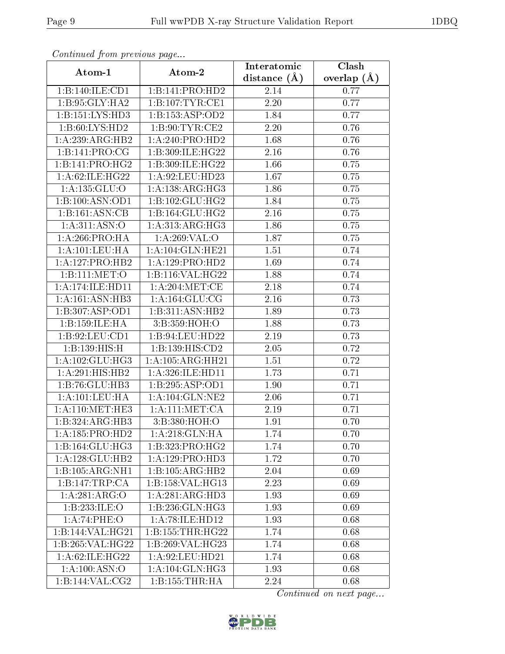| Continuou jiom protivus pago |                              | Interatomic       | Clash         |
|------------------------------|------------------------------|-------------------|---------------|
| Atom-1                       | Atom-2                       | distance $(\AA)$  | overlap $(A)$ |
| 1:B:140:ILE:CD1              | 1:B:141:PRO:H <sub>D2</sub>  | 2.14              | 0.77          |
| 1:B:95:GLY:HA2               | 1: B: 107: TYR: CE1          | 2.20              | 0.77          |
| 1:B:151:LYS:HD3              | 1:B:153:ASP:OD2              | 1.84              | 0.77          |
| 1:B:60:LYS:HD2               | 1: B:90: TYR: CE2            | 2.20              | 0.76          |
| 1:A:239:ARG:HB2              | 1:A:240:PRO:HD2              | 1.68              | 0.76          |
| 1:B:141:PRO:CG               | 1:B:309:ILE:HG22             | 2.16              | 0.76          |
| 1:B:141:PRO:HG2              | 1:B:309:ILE:HG22             | 1.66              | 0.75          |
| 1:A:62:ILE:HG22              | 1:A:92:LEU:HD23              | 1.67              | 0.75          |
| 1: A: 135: GLU:O             | 1:A:138:ARG:HG3              | 1.86              | 0.75          |
| 1:B:100:ASN:OD1              | 1:B:102:GLU:HG2              | 1.84              | 0.75          |
| 1:B:161:ASN:CB               | 1:B:164:GLU:HG2              | 2.16              | 0.75          |
| 1: A:311: ASN:O              | 1: A:313:ARG:HG3             | 1.86              | 0.75          |
| 1: A:266:PRO:HA              | 1:A:269:VAL:O                | 1.87              | 0.75          |
| 1: A: 101: LEU: HA           | 1:A:104:GLN:HE21             | 1.51              | 0.74          |
| 1: A: 127: PRO: HB2          | 1:A:129:PRO:HD2              | 1.69              | 0.74          |
| 1:B:111:MET:O                | 1:B:116:VAL:H G22            | 1.88              | 0.74          |
| 1:A:174:ILE:HD11             | 1: A:204:MET:CE              | 2.18              | 0.74          |
| 1: A:161: ASN:HB3            | 1: A: 164: GLU: CG           | 2.16              | 0.73          |
| 1:B:307:ASP:OD1              | 1:B:311:ASN:HB2              | 1.89              | 0.73          |
| 1:B:159:ILE:HA               | 3: B:359:HOH:O               | 1.88              | 0.73          |
| 1:B:92:LEU:CD1               | 1:B:94:LEU:HD22              | 2.19              | 0.73          |
| 1:B:139:HIS:H                | 1:B:139:HIS:CD2              | 2.05              | 0.72          |
| 1: A: 102: GLU: HG3          | 1:A:105:ARG:HH21             | $\overline{1}.51$ | 0.72          |
| 1: A:291:HIS:HB2             | 1:A:326:ILE:HD11             | 1.73              | 0.71          |
| $1:B:76:GLU:H\overline{B3}$  | 1:B:295:ASP:OD1              | 1.90              | 0.71          |
| 1: A: 101: LEU: HA           | 1:A:104:GLN:NE2              | 2.06              | 0.71          |
| 1: A:110:MET:HE3             | 1: A: 111: MET: CA           | 2.19              | 0.71          |
| 1:B:324:ARG:HB3              | 3:B:380:HOH:O                | 1.91              | 0.70          |
| 1:A:185:PRO:HD2              | 1:A:218:GLN:HA               | 1.74              | 0.70          |
| 1:B:164:GLU:HG3              | 1:B:323:PRO:HG2              | 1.74              | 0.70          |
| 1:A:128:GLU:HB2              | 1:A:129:PRO:HD3              | 1.72              | 0.70          |
| 1:B:105:ARG:NH1              | 1:B:105:ARG:HB2              | 2.04              | 0.69          |
| 1: B: 147: TRP: CA           | 1:B:158:VAL:HG13             | 2.23              | 0.69          |
| 1:A:281:ARG:O                | 1:A:281:ARG:HD3              | 1.93              | 0.69          |
| 1:B:233:ILE:O                | $1:B:236:GLN:H\overline{G3}$ | 1.93              | 0.69          |
| 1:A:74:PHE:O                 | 1:A:78:ILE:HD12              | 1.93              | 0.68          |
| 1:B:144:VAL:HG21             | 1: B: 155: THR: HG22         | 1.74              | 0.68          |
| 1:B:265:VAL:HG22             | 1:B:269:VAL:HG23             | 1.74              | 0.68          |
| 1: A:62: ILE: HG22           | 1:A:92:LEU:HD21              | 1.74              | 0.68          |
| 1: A:100: ASN:O              | 1:A:104:GLN:HG3              | 1.93              | 0.68          |
| 1:B:144:VAL:CG2              | 1: B: 155: THR: HA           | 2.24              | 0.68          |

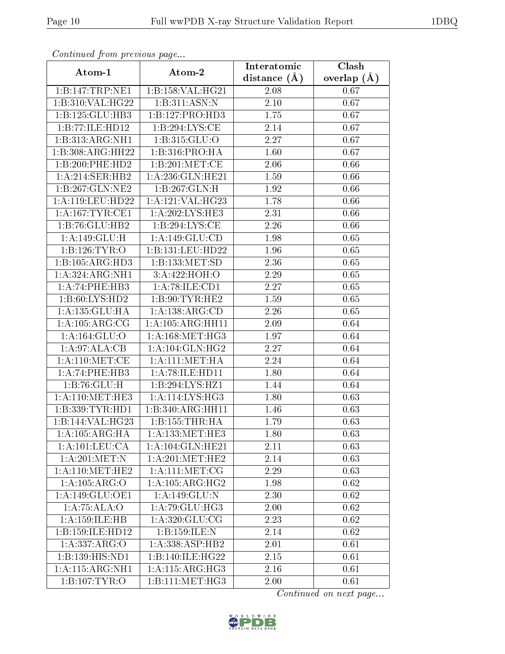| Continuea from previous page   |                              | Interatomic       | Clash         |
|--------------------------------|------------------------------|-------------------|---------------|
| Atom-1                         | Atom-2                       | distance $(\AA)$  | overlap $(A)$ |
| 1:B:147:TRP:NE1                | 1:B:158:VAL:HG21             | 2.08              | 0.67          |
| 1:B:310:VAL:HG22               | 1:B:311:ASN:N                | 2.10              | 0.67          |
| 1:B:125:GLU:HB3                | 1:B:127:PRO:HD3              | 1.75              | 0.67          |
| 1:B:77:ILE:HD12                | 1:B:294:LYS:CE               | 2.14              | 0.67          |
| 1:B:313:ARG:NH1                | 1:B:315:GLU:O                | 2.27              | 0.67          |
| 1:B:308:ARG:HH22               | 1:B:316:PRO:HA               | 1.60              | 0.67          |
| 1:B:200:PHE:HD2                | 1:B:201:MET:CE               | 2.06              | 0.66          |
| 1:A:214:SER:HB2                | 1:A:236: GLN: HE21           | 1.59              | 0.66          |
| 1:B:267:GLN:NE2                | 1:B:267:GLN:H                | 1.92              | 0.66          |
| 1: A:119: LEU: HD22            | 1:A:121:VAL:HG23             | 1.78              | 0.66          |
| 1: A:167: TYR: CE1             | 1: A:202:LYS:HE3             | 2.31              | 0.66          |
| 1:B:76:GLU:HB2                 | 1: B:294: LYS: CE            | 2.26              | 0.66          |
| 1:A:149:GLU:H                  | 1: A: 149: GLU: CD           | 1.98              | 0.65          |
| 1:B:126:TYR:O                  | 1:B:131:LEU:HD22             | 1.96              | 0.65          |
| 1:B:105:ARG:HD3                | 1:B:133:MET:SD               | 2.36              | $0.65\,$      |
| 1:A:324:ARG:NH1                | 3:A:422:HOH:O                | 2.29              | 0.65          |
| 1:A:74:PHE:HB3                 | 1:A:78:ILE:CD1               | 2.27              | $0.65\,$      |
| 1: B:60: LYS: HD2              | 1: B:90: TYR: HE2            | 1.59              | 0.65          |
| 1:A:135:GLU:HA                 | 1:A:138:ARG:CD               | $\overline{2.26}$ | 0.65          |
| 1: A: 105: ARG: CG             | 1: A: 105: ARG: HH11         | 2.09              | 0.64          |
| 1:A:164:GLU:O                  | 1: A:168:MET:HG3             | 1.97              | 0.64          |
| 1:A:97:ALA:CB                  | 1: A:104: GLN: HG2           | 2.27              | 0.64          |
| 1: A:110: MET:CE               | 1: A: 111:MET: HA            | 2.24              | 0.64          |
| 1:A:74:PHE:HB3                 | 1:A:78:ILE:HD11              | 1.80              | 0.64          |
| 1:B:76:GLU:H                   | 1:B:294:LYS:HZ1              | 1.44              | 0.64          |
| 1: A:110:MET:HE3               | 1:A:114:LYS:HG3              | 1.80              | 0.63          |
| 1:B:339:TYR:HD1                | 1:B:340:ARG:HH11             | 1.46              | 0.63          |
| 1:B:144:VAL:HG23               | 1:B:155:THR:HA               | 1.79              | 0.63          |
| 1: A: 105: ARG: HA             | 1: A: 133: MET: HE3          | 1.80              | 0.63          |
| 1:A:101:LEU:CA                 | 1:A:104:GLN:HE21             | 2.11              | 0.63          |
| 1:A:201:MET:N                  | 1: A:201: MET:HE2            | 2.14              | 0.63          |
| 1: A:110:MET:HE2               | 1: A: 111: MET: CG           | 2.29              | 0.63          |
| 1:A:105:ARG:O                  | 1: A:105: ARG: HG2           | 1.98              | 0.62          |
| $1: A:149: \overline{GLU:OE1}$ | 1:A:149:GLU:N                | 2.30              | $0.62\,$      |
| 1:A:75:ALA:O                   | 1: A:79: GLU:H G3            | 2.00              | 0.62          |
| 1:A:159:ILE:HB                 | 1: A:320: GLU:CG             | 2.23              | 0.62          |
| 1:B:159:ILE:HD12               | 1:B:159:ILE:N                | 2.14              | 0.62          |
| 1:A:337:ARG:O                  | $1:\overline{A:338:ASP:HB2}$ | 2.01              | 0.61          |
| $1:B:139:HIS:\overline{ND1}$   | 1:B:140:ILE:HG22             | 2.15              | 0.61          |
| 1:A:115:ARG:NH1                | 1: A:115: ARG:HG3            | 2.16              | 0.61          |
| 1: B: 107: TYR:O               | 1:B:111:MET:HG3              | 2.00              | 0.61          |

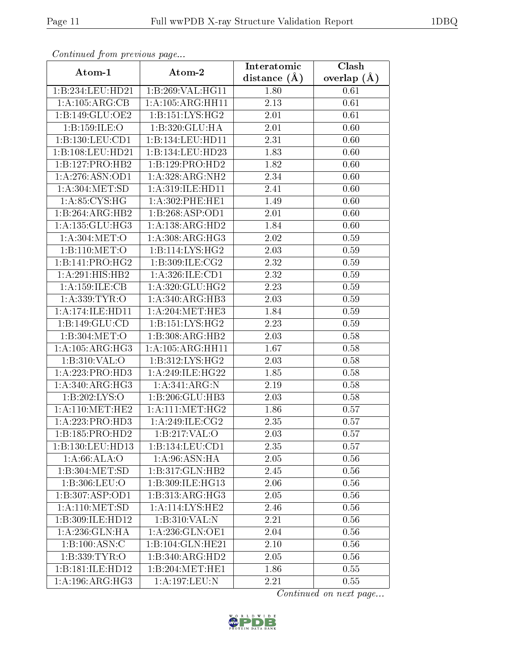| Continuea from previous page |                      | Interatomic       | $\overline{\text{Clash}}$ |
|------------------------------|----------------------|-------------------|---------------------------|
| Atom-1                       | Atom-2               | distance $(A)$    | overlap $(A)$             |
| 1:B:234:LEU:HD21             | 1:B:269:VAL:HG11     | 1.80              | 0.61                      |
| 1: A:105: ARG:CB             | 1: A: 105: ARG: HH11 | $\overline{2.13}$ | 0.61                      |
| 1:B:149:GLU:OE2              | 1: B: 151: LYS: HG2  | 2.01              | 0.61                      |
| 1:B:159:ILE:O                | 1:B:320:GLU:HA       | 2.01              | 0.60                      |
| 1:B:130:LEU:CD1              | 1:B:134:LEU:HD11     | 2.31              | 0.60                      |
| 1:B:108:LEU:HD21             | 1:B:134:LEU:HD23     | 1.83              | 0.60                      |
| 1:B:127:PRO:HB2              | 1:B:129:PRO:HD2      | 1.82              | 0.60                      |
| 1: A:276: ASN:OD1            | 1:A:328:ARG:NH2      | 2.34              | 0.60                      |
| 1: A:304: MET:SD             | 1: A:319: ILE: HD11  | 2.41              | 0.60                      |
| 1: A:85: CYS:HG              | 1: A:302: PHE:HE1    | 1.49              | 0.60                      |
| 1:B:264:ARG:HB2              | 1:B:268:ASP:OD1      | 2.01              | 0.60                      |
| 1: A: 135: GLU: HG3          | 1:A:138:ARG:HD2      | 1.84              | 0.60                      |
| 1: A:304:MET:O               | 1: A:308:ARG:HG3     | 2.02              | 0.59                      |
| 1:B:110:MET:O                | 1:B:114:LYS:HG2      | 2.03              | 0.59                      |
| 1:B:141:PRO:HG2              | 1: B: 309: ILE: CG2  | 2.32              | 0.59                      |
| $1:A:291:HIS:H\overline{B2}$ | 1: A:326: ILE: CD1   | 2.32              | 0.59                      |
| 1:A:159:ILE:CB               | 1: A:320: GLU: HG2   | 2.23              | 0.59                      |
| 1:A:339:TYR:O                | 1:A:340:ARG:HB3      | 2.03              | 0.59                      |
| 1:A:174:ILE:HDI1             | 1: A:204:MET:HE3     | 1.84              | 0.59                      |
| 1: B: 149: GLU: CD           | 1: B: 151: LYS: HG2  | 2.23              | 0.59                      |
| 1:B:304:MET:O                | 1:B:308:ARG:HB2      | 2.03              | 0.58                      |
| 1: A: 105: ARG: HG3          | 1: A: 105: ARG: HH11 | 1.67              | 0.58                      |
| 1:B:310:VAL:O                | 1: B: 312: LYS: HG2  | 2.03              | 0.58                      |
| 1:A:223:PRO:HD3              | 1:A:249:ILE:HG22     | 1.85              | 0.58                      |
| 1: A:340:ARG:HG3             | 1: A:341: ARG: N     | 2.19              | 0.58                      |
| 1:B:202:LYS:O                | 1:B:206:GLU:HB3      | 2.03              | 0.58                      |
| 1: A:110:MET:HE2             | 1: A: 111: MET:HG2   | 1.86              | 0.57                      |
| 1:A:223:PRO:HD3              | 1:A:249:ILE:CG2      | 2.35              | 0.57                      |
| 1:B:185:PRO:HD2              | 1:B:217:VAL:O        | 2.03              | 0.57                      |
| 1:B:130:LEU:HD13             | 1:B:134:LEU:CD1      | 2.35              | 0.57                      |
| 1: A:66: ALA:O               | 1: A:96: ASN: HA     | 2.05              | 0.56                      |
| 1:B:304:MET:SD               | 1:B:317:GLN:HB2      | 2.45              | 0.56                      |
| 1:B:306:LEU:O                | 1:B:309:ILE:HG13     | 2.06              | 0.56                      |
| 1:B:307:ASP:OD1              | 1:B:313:ARG:HG3      | 2.05              | 0.56                      |
| 1: A:110:MET:SD              | 1:A:114:LYS:HE2      | 2.46              | 0.56                      |
| 1:B:309:ILE:HD12             | 1:B:310:VAL:N        | 2.21              | 0.56                      |
| 1: A:236: GLN: HA            | 1: A:236: GLN:OE1    | 2.04              | 0.56                      |
| 1:B:100:ASN:C                | 1:B:104:GLN:HE21     | 2.10              | 0.56                      |
| 1:B:339:TYR:O                | 1:B:340:ARG:HD2      | 2.05              | 0.56                      |
| 1:B:181:ILE:HD12             | 1:B:204:MET:HE1      | 1.86              | 0.55                      |
| 1: A:196:ARG:HG3             | 1:A:197:LEU:N        | 2.21              | 0.55                      |

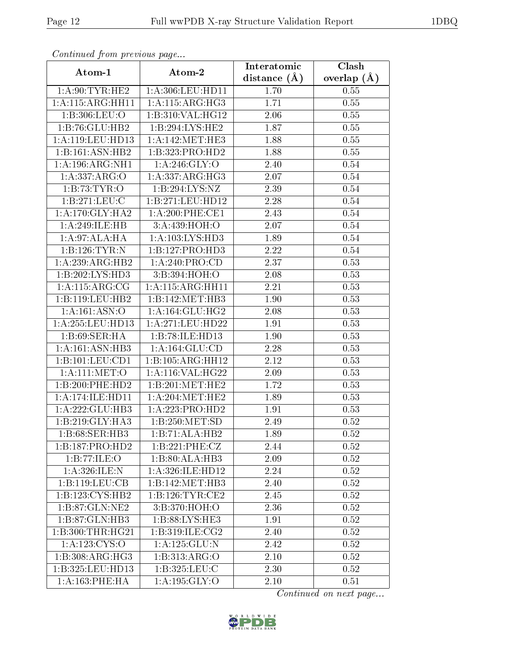| Continuea from previous page |                              | Interatomic       | Clash         |
|------------------------------|------------------------------|-------------------|---------------|
| Atom-1                       | Atom-2                       | distance $(A)$    | overlap $(A)$ |
| $1:$ A:90:TYR:HE2            | 1:A:306:LEU:HD11             | 1.70              | 0.55          |
| 1: A:115: ARG:HH11           | 1: A:115: ARG:HG3            | 1.71              | 0.55          |
| 1:B:306:LEU:O                | 1:B:310:VAL:H <sub>G12</sub> | 2.06              | 0.55          |
| 1:B:76:GLU:HB2               | 1:B:294:LYS:HE2              | 1.87              | 0.55          |
| 1: A:119: LEU: HD13          | 1: A:142: MET:HE3            | 1.88              | 0.55          |
| 1:B:161:ASN:HB2              | 1:B:323:PRO:HD2              | 1.88              | 0.55          |
| 1: A: 196: ARG: NH1          | 1: A:246: GLY:O              | 2.40              | $0.54\,$      |
| 1: A: 337: ARG: O            | 1:A:337:ARG:HG3              | 2.07              | 0.54          |
| 1:B:73:TYR:O                 | 1:B:294:LYS:NZ               | 2.39              | 0.54          |
| 1:B:271:LEU:C                | 1:B:271:LEU:HD12             | 2.28              | 0.54          |
| 1: A:170: GLY: HA2           | $1: A:200:$ PHE:CE1          | 2.43              | 0.54          |
| 1:A:249:ILE:HB               | 3:A:439:HOH:O                | $\overline{2.07}$ | 0.54          |
| 1:A:97:ALA:HA                | 1: A: 103: LYS: HD3          | 1.89              | 0.54          |
| 1:B:126:TYR:N                | 1:B:127:PRO:HD3              | 2.22              | 0.54          |
| 1: A:239: ARG: HB2           | 1:A:240:PRO:CD               | 2.37              | 0.53          |
| 1:B:202:LYS:HD3              | 3:B:394:HOH:O                | 2.08              | 0.53          |
| 1: A:115: ARG:CG             | 1:A:115:ARG:HH11             | 2.21              | 0.53          |
| 1:B:119:LEU:HB2              | 1:B:142:MET:HB3              | 1.90              | 0.53          |
| $1:\overline{A:161:ASN:O}$   | 1: A:164: GLU:HG2            | 2.08              | 0.53          |
| 1: A:255:LEU:HD13            | 1: A:271:LEU:HD22            | 1.91              | 0.53          |
| 1: B:69: SER: HA             | 1:B:78:ILE:HD13              | 1.90              | 0.53          |
| 1: A: 161: ASN: HB3          | 1: A: 164: GLU: CD           | 2.28              | 0.53          |
| 1:B:101:LEU:CD1              | 1:B:105:ARG:HH12             | 2.12              | 0.53          |
| 1: A:111:MET:O               | 1:A:116:VAL:HG22             | 2.09              | 0.53          |
| 1:B:200:PHE:HD2              | 1:B:201:MET:HE2              | 1.72              | 0.53          |
| 1: A:174: ILE: HDI1          | 1: A:204:MET:HE2             | 1.89              | 0.53          |
| 1:A:222:GLU:HB3              | 1:A:223:PRO:HD2              | 1.91              | 0.53          |
| 1:B:219:GLY:HA3              | 1:B:250:MET:SD               | 2.49              | 0.52          |
| 1:B:68:SER:HB3               | 1:B:71:ALA:HB2               | 1.89              | 0.52          |
| 1:B:187:PRO:HD2              | 1:B:221:PHE:CZ               | 2.44              | 0.52          |
| 1:B:77:ILE:O                 | 1:B:80:ALA:HB3               | 2.09              | 0.52          |
| 1: A:326: ILE:N              | 1: A:326: ILE: HD12          | 2.24              | 0.52          |
| 1:B:119:LEU:CB               | 1:B:142:MET:HB3              | 2.40              | 0.52          |
| 1:B:123:CYS:HB2              | 1: B: 126: TYR: CE2          | 2.45              | 0.52          |
| 1:B:87:GLN:NE2               | 3:B:370:HOH:O                | 2.36              | 0.52          |
| 1:B:87:GLN:HB3               | 1:B:88:LYS:HE3               | 1.91              | 0.52          |
| 1: B:300: THR: HG21          | 1:B:319:ILE:CG2              | 2.40              | 0.52          |
| 1: A: 123: CYS:O             | 1:A:125:GLU:N                | 2.42              | 0.52          |
| 1:B:308:ARG:HG3              | 1:B:313:ARG:O                | 2.10              | 0.52          |
| 1:B:325:LEU:HD13             | 1:B:325:LEU:C                | 2.30              | 0.52          |
| 1: A:163:PHE:HA              | 1:A:195:GLY:O                | 2.10              | 0.51          |

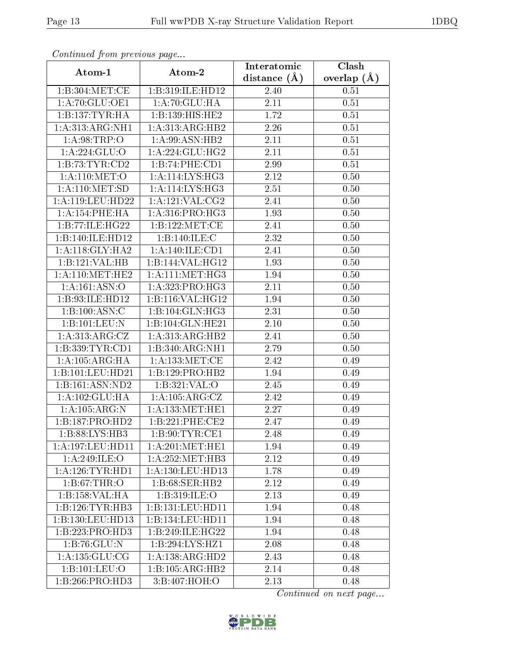| Continuea from previous page |                                                       | Interatomic    | Clash           |
|------------------------------|-------------------------------------------------------|----------------|-----------------|
| Atom-1                       | Atom-2                                                | distance $(A)$ | overlap $(\AA)$ |
| 1:B:304:MET:CE               | 1:B:319:ILE:HD12                                      | 2.40           | 0.51            |
| 1: A:70: GLU:OE1             | 1:A:70:GLU:HA                                         | 2.11           | 0.51            |
| 1:B:137:TYR:HA               | 1:B:139:HIS:HE2                                       | 1.72           | 0.51            |
| 1:A:313:ARG:NH1              | 1:A:313:ARG:HB2                                       | 2.26           | 0.51            |
| 1: A:98:TRP:O                | 1:A:99:ASN:HB2                                        | 2.11           | 0.51            |
| 1:A:224:GLU:O                | 1:A:224:GLU:HG2                                       | 2.11           | 0.51            |
| 1:B:73:TYR:CD2               | 1:B:74:PHE:CD1                                        | 2.99           | 0.51            |
| 1: A:110:MET:O               | 1: A:114: LYS: HG3                                    | 2.12           | 0.50            |
| 1: A: 110: MET: SD           | 1: A:114: LYS: HG3                                    | 2.51           | 0.50            |
| 1: A:119: LEU: HD22          | $1:A:121:\overline{\text{VAL}:C}\overline{\text{G2}}$ | 2.41           | 0.50            |
| 1: A:154:PHE:HA              | 1:A:316:PRO:H <sub>G3</sub>                           | 1.93           | 0.50            |
| 1:B:77:ILE:HG22              | 1:B:122:MET:CE                                        | 2.41           | 0.50            |
| 1:B:140:ILE:HD12             | 1:B:140:ILE:C                                         | 2.32           | 0.50            |
| 1: A:118: GLY:HA2            | 1:A:140:ILE:CD1                                       | 2.41           | 0.50            |
| 1:B:121:VAL:HB               | 1:B:144:VAL:HG12                                      | 1.93           | 0.50            |
| 1: A:110:MET:HE2             | 1: A:111:MET:HG3                                      | 1.94           | 0.50            |
| 1:A:161:ASN:O                | 1:A:323:PRO:HG3                                       | 2.11           | 0.50            |
| 1:B:93:ILE:HD12              | 1: B:116: VAL:HG12                                    | 1.94           | 0.50            |
| 1:B:100:ASN:C                | 1:B:104:GLN:HG3                                       | 2.31           | 0.50            |
| 1:B:101:LEU:N                | 1:B:104:GLN:HE21                                      | 2.10           | 0.50            |
| 1:A:313:ARG:CZ               | 1:A:313:ARG:HB2                                       | 2.41           | 0.50            |
| 1:B:339:TYR:CD1              | 1:B:340:ARG:NH1                                       | 2.79           | 0.50            |
| 1: A: 105: ARG: HA           | 1: A: 133: MET:CE                                     | 2.42           | 0.49            |
| 1:B:101:LEU:HD21             | 1:B:129:PRO:HB2                                       | 1.94           | 0.49            |
| 1:B:161:ASN:ND2              | 1: B: 321: VAL: O                                     | 2.45           | 0.49            |
| 1:A:102:GLU:HA               | 1:A:105:ARG:CZ                                        | 2.42           | 0.49            |
| 1:A:105:ARG:N                | 1: A: 133: MET: HE1                                   | 2.27           | 0.49            |
| 1:B:187:PRO:HD2              | 1:B:221:PHE:CE2                                       | 2.47           | 0.49            |
| 1:B:88:LYS:HB3               | 1: B:90: TYR:CE1                                      | 2.48           | 0.49            |
| 1: A: 197: LEU: HD11         | 1: A:201:MET:HE1                                      | 1.94           | 0.49            |
| 1: A:249: ILE:O              | 1: A:252:MET:HB3                                      | 2.12           | 0.49            |
| 1: A:126: TYR: HD1           | 1: A: 130: LEU: HD13                                  | 1.78           | 0.49            |
| 1: B:67:THR:O                | 1:B:68:SER:HB2                                        | 2.12           | 0.49            |
| 1:B:158:VAL:HA               | 1:B:319:ILE:O                                         | 2.13           | 0.49            |
| 1:B:126:TYR:HB3              | 1:B:131:LEU:HD11                                      | 1.94           | 0.48            |
| 1:B:130:LEU:HD13             | 1:B:134:LEU:HD11                                      | 1.94           | 0.48            |
| 1:B:223:PRO:HD3              | 1:B:249:ILE:HG22                                      | 1.94           | 0.48            |
| 1:B:76:GLU:N                 | $1:B:294:LYS:\overline{HZ1}$                          | 2.08           | 0.48            |
| 1:A:135:GLU:CG               | 1:A:138:ARG:HD2                                       | 2.43           | 0.48            |
| 1:B:101:LEU:O                | 1:B:105:ARG:HB2                                       | 2.14           | 0.48            |
| 1:B:266:PRO:HD3              | 3:B:407:HOH:O                                         | 2.13           | 0.48            |

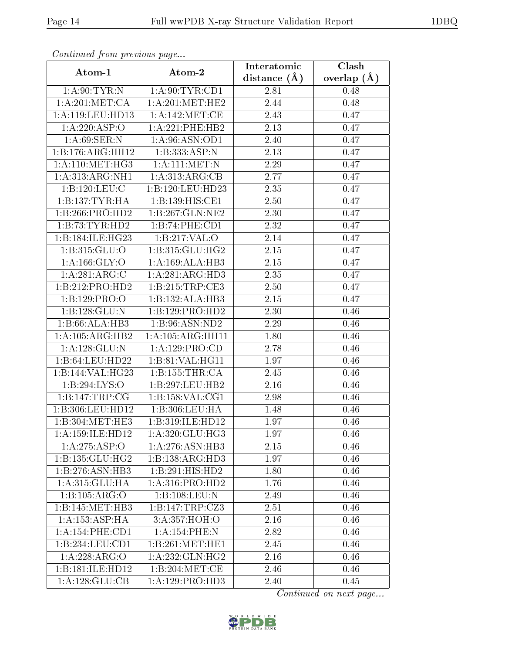| Continuea from previous page  |                      | Interatomic    | Clash         |
|-------------------------------|----------------------|----------------|---------------|
| Atom-1                        | Atom-2               | distance $(A)$ | overlap $(A)$ |
| 1: A:90: TYR:N                | 1: A:90: TYR:CD1     | 2.81           | 0.48          |
| 1: A:201: MET:CA              | 1:A:201:MET:HE2      | 2.44           | 0.48          |
| 1:A:119:LEU:HD13              | 1:A:142:MET:CE       | 2.43           | 0.47          |
| 1:A:220:ASP:O                 | 1:A:221:PHE:HB2      | 2.13           | 0.47          |
| 1: A:69: SER: N               | 1: A:96: ASN:OD1     | 2.40           | 0.47          |
| 1:B:176:ARG:HH12              | 1:B:333:ASP:N        | 2.13           | 0.47          |
| 1:A:110:MET:HG3               | 1:A:111:MET:N        | 2.29           | 0.47          |
| 1:A:313:ARG:NH1               | 1:A:313:ARG:CB       | 2.77           | 0.47          |
| 1:B:120:LEU:C                 | 1:B:120:LEU:HD23     | 2.35           | 0.47          |
| 1:B:137:TYR:HA                | 1:B:139:HIS:CE1      | 2.50           | 0.47          |
| 1:B:266:PRO:HD2               | 1:B:267:GLN:NE2      | 2.30           | 0.47          |
| 1:B:73:TYR:HD2                | 1:B:74:PHE:CD1       | 2.32           | 0.47          |
| 1:B:184:ILE:HG23              | 1:B:217:VAL:O        | 2.14           | 0.47          |
| $1: B: 315: \overline{GLU:O}$ | 1:B:315:GLU:HG2      | $2.15\,$       | 0.47          |
| 1: A: 166: GLY: O             | 1:A:169:ALA:HB3      | $2.15\,$       | 0.47          |
| 1:A:281:ARG:C                 | 1:A:281:ARG:HD3      | 2.35           | 0.47          |
| 1:B:212:PRO:HD2               | 1:B:215:TRP:CE3      | 2.50           | 0.47          |
| 1:B:129:PRO:O                 | 1:B:132:ALA:HB3      | 2.15           | 0.47          |
| 1:B:128:GLU:N                 | 1:B:129:PRO:HD2      | 2.30           | 0.46          |
| 1:B:66:ALA:HB3                | 1:B:96:ASN:ND2       | 2.29           | 0.46          |
| 1: A: 105: ARG: HB2           | 1: A: 105: ARG: HH11 | 1.80           | 0.46          |
| 1:A:128:GLU:N                 | 1:A:129:PRO:CD       | 2.78           | 0.46          |
| 1:B:64:LEU:HD22               | 1:B:81:VAL:HG11      | 1.97           | 0.46          |
| 1:B:144:VAL:HG23              | 1:B:155:THR:CA       | 2.45           | 0.46          |
| 1:B:294:LYS:O                 | 1:B:297:LEU:HB2      | 2.16           | 0.46          |
| 1:B:147:TRP:CG                | 1: B: 158: VAL: CG1  | 2.98           | 0.46          |
| 1:B:306:LEU:HD12              | 1:B:306:LEU:HA       | 1.48           | 0.46          |
| 1:B:304:MET:HE3               | 1:B:319:ILE:HD12     | 1.97           | 0.46          |
| 1: A:159: ILE: HD12           | 1: A:320: GLU: HG3   | $1.97\,$       | 0.46          |
| 1:A:275:ASP:O                 | 1:A:276:ASN:HB3      | 2.15           | 0.46          |
| 1: B: 135: GLU: HG2           | 1:B:138:ARG:HD3      | 1.97           | 0.46          |
| 1:B:276:ASN:HB3               | 1:B:291:HIS:HD2      | 1.80           | 0.46          |
| 1:A:315:GLU:HA                | 1: A: 316: PRO: HD2  | 1.76           | 0.46          |
| 1:B:105:ARG:O                 | 1:B:108:LEU:N        | 2.49           | 0.46          |
| 1:B:145:MET:HB3               | 1:B:147:TRP:CZ3      | 2.51           | 0.46          |
| 1:A.153:ASP:HA                | 3:A:357:HOH:O        | 2.16           | 0.46          |
| 1:A:154:PHE:CD1               | 1:A:154:PHE:N        | 2.82           | 0.46          |
| 1:B:234:LEU:CD1               | 1:B:261:MET:HE1      | 2.45           | 0.46          |
| 1:A:228:ARG:O                 | 1: A: 232: GLN: HG2  | 2.16           | 0.46          |
| 1:B:181:ILE:HD12              | 1:B:204:MET:CE       | 2.46           | 0.46          |
| 1: A: 128: GLU: CB            | 1:A:129:PRO:HD3      | 2.40           | 0.45          |

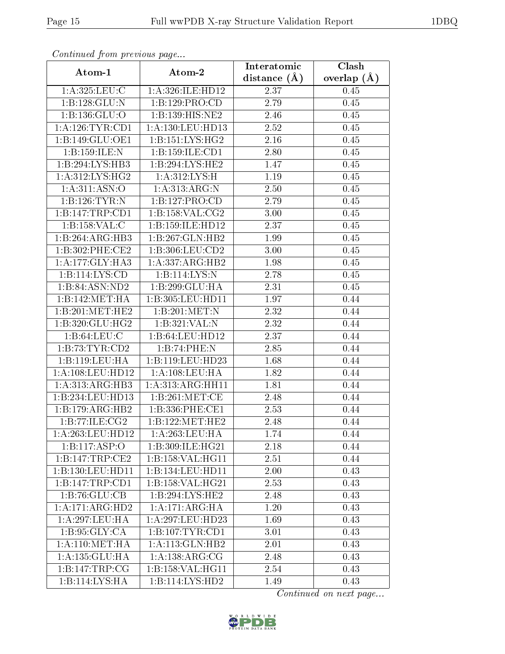| Communaca from previous page |                     | Interatomic    | Clash           |
|------------------------------|---------------------|----------------|-----------------|
| Atom-1                       | Atom-2              | distance $(A)$ | overlap $(\AA)$ |
| 1: A:325: LEU: C             | 1:A:326:ILE:HD12    | 2.37           | 0.45            |
| 1:B:128:GLU:N                | 1:B:129:PRO:CD      | 2.79           | 0.45            |
| 1:B:136:GLU:O                | 1:B:139:HIS:NE2     | 2.46           | 0.45            |
| 1: A:126:TYR:CD1             | 1:A:130:LEU:HD13    | 2.52           | 0.45            |
| 1:B:149:GLU:OE1              | 1: B: 151: LYS: HG2 | 2.16           | 0.45            |
| 1:B:159:ILE:N                | 1:B:159:ILE:CD1     | 2.80           | 0.45            |
| 1:B:294:LYS:HB3              | 1:B:294:LYS:HE2     | 1.47           | 0.45            |
| 1: A:312: LYS: HG2           | 1: A:312:LYS:H      | 1.19           | 0.45            |
| 1: A:311: ASN:O              | 1: A:313:ARG:N      | 2.50           | 0.45            |
| 1:B:126:TYR:N                | 1:B:127:PRO:CD      | 2.79           | 0.45            |
| 1:B:147:TRP:CD1              | 1:B:158:VAL:CG2     | 3.00           | 0.45            |
| 1:B:158:VAL:C                | 1:B:159:ILE:HD12    | 2.37           | 0.45            |
| 1:B:264:ARG:HB3              | 1:B:267:GLN:HB2     | 1.99           | 0.45            |
| 1:B:302:PHE:CE2              | 1: B: 306: LEU: CD2 | 3.00           | 0.45            |
| 1:A:177:GLY:HA3              | 1:A:337:ARG:HB2     | 1.98           | 0.45            |
| 1:B:114:LYS:CD               | 1:B:114:LYS:N       | 2.78           | 0.45            |
| 1:B:84:ASN:ND2               | 1:B:299:GLU:HA      | 2.31           | 0.45            |
| 1:B:142:MET:HA               | 1:B:305:LEU:HD11    | 1.97           | 0.44            |
| 1:B:201:MET:HE2              | 1:B:201:MET:N       | 2.32           | 0.44            |
| 1:B:320:GLU:HG2              | 1:B:321:VAL:N       | 2.32           | 0.44            |
| 1: B:64:LEU:C                | 1:B:64:LEU:HD12     | 2.37           | 0.44            |
| 1:B:73:TYR:CD2               | 1:B:74:PHE:N        | 2.85           | 0.44            |
| 1:B:119:LEU:HA               | 1:B:119:LEU:HD23    | 1.68           | 0.44            |
| 1: A:108:LEU:HD12            | 1: A: 108: LEU: HA  | 1.82           | 0.44            |
| 1: A:313:ARG:HB3             | 1: A:313:ARG:HH11   | 1.81           | 0.44            |
| 1:B:234:LEU:HD13             | 1:B:261:MET:CE      | 2.48           | 0.44            |
| 1:B:179:ARG:HB2              | 1:B:336:PHE:CE1     | 2.53           | 0.44            |
| 1:B:77:ILE:CG2               | 1:B:122:MET:HE2     | $\bar{2}.48$   | 0.44            |
| 1:A:263:LEU:HD12             | 1:A:263:LEU:HA      | 1.74           | 0.44            |
| 1:B:117:ASP:O                | 1:B:309:ILE:HG21    | 2.18           | $0.44\,$        |
| 1:B:147:TRP:CE2              | 1: B:158: VAL:HGI1  | 2.51           | 0.44            |
| 1:B:130:LEU:HD11             | 1:B:134:LEU:HD11    | 2.00           | 0.43            |
| 1:B:147:TRP:CD1              | 1: B:158: VAL:HG21  | 2.53           | 0.43            |
| 1:B:76:GLU:CB                | 1:B:294:LYS:HE2     | 2.48           | 0.43            |
| 1:A:171:ARG:HD2              | 1:A:171:ARG:HA      | 1.20           | 0.43            |
| 1:A:297:LEU:HA               | 1:A:297:LEU:HD23    | 1.69           | 0.43            |
| 1: B:95: GLY:CA              | 1:B:107:TYR:CD1     | 3.01           | 0.43            |
| 1: A:110:MET:HA              | 1: A:113: GLN:HB2   | 2.01           | 0.43            |
| 1: A: 135: GLU: HA           | 1: A: 138: ARG: CG  | 2.48           | 0.43            |
| 1:B:147:TRP:CG               | 1:B:158:VAL:HG11    | 2.54           | 0.43            |
| 1:B:114:LYS:HA               | 1:B:114:LYS:HD2     | 1.49           | 0.43            |

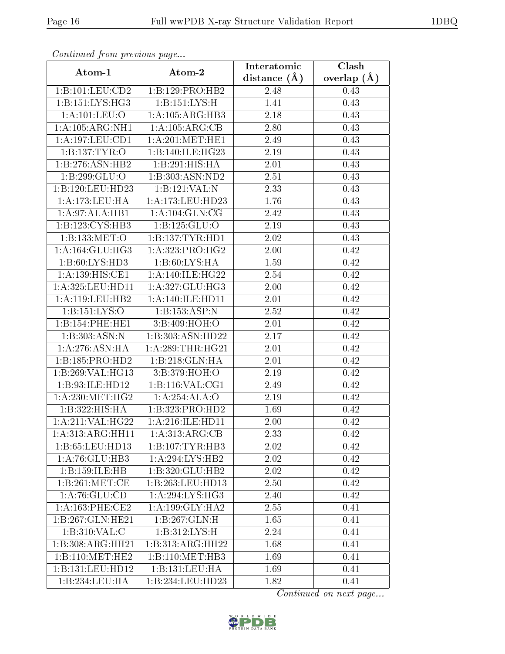| Continued from previous page |                                   | Interatomic       | Clash         |
|------------------------------|-----------------------------------|-------------------|---------------|
| Atom-1                       | Atom-2                            | distance $(A)$    | overlap $(A)$ |
| 1:B:101:LEU:CD2              | 1:B:129:PRO:HB2                   | 2.48              | 0.43          |
| 1:B:151:LYS:HG3              | $1:B:151:\overline{\text{LYS:H}}$ | 1.41              | 0.43          |
| 1:A:101:LEU:O                | 1:A:105:ARG:HB3                   | 2.18              | 0.43          |
| 1:A:105:ARG:NH1              | 1:A:105:ARG:CB                    | 2.80              | 0.43          |
| 1: A: 197: LEU: CD1          | 1: A:201:MET:HE1                  | 2.49              | 0.43          |
| 1:B:137:TYR:O                | 1:B:140:ILE:HG23                  | 2.19              | 0.43          |
| 1:B:276:ASN:HB2              | 1:B:291:HIS:HA                    | 2.01              | 0.43          |
| 1:B:299:GLU:O                | 1:B:303:ASN:ND2                   | 2.51              | 0.43          |
| 1:B:120:LEU:HD23             | 1:B:121:VAL:N                     | $\overline{2}.33$ | 0.43          |
| 1: A:173:LEU:HA              | 1: A:173: LEU: HD23               | 1.76              | 0.43          |
| 1:A:97:ALA:HB1               | 1:A:104:GLN:CG                    | 2.42              | 0.43          |
| 1:B:123:CYS:HB3              | 1:B:125:GLU:O                     | 2.19              | 0.43          |
| 1:B:133:MET:O                | 1:B:137:TYR:HDI                   | 2.02              | 0.43          |
| 1: A: 164: GLU: HG3          | $1:A:323:PRO:\overline{HG2}$      | 2.00              | 0.42          |
| 1:B:60:LYS:HD3               | 1:B:60:LYS:HA                     | 1.59              | 0.42          |
| 1:A:139:HIS:CE1              | 1: A:140: ILE: HG22               | 2.54              | 0.42          |
| 1: A:325: LEU: HD11          | 1:A:327:GLU:HG3                   | 2.00              | 0.42          |
| 1: A: 119: LEU: HB2          | 1: A:140: ILE: HD11               | 2.01              | 0.42          |
| 1:B:151:LYS:O                | $1: \overline{B:153:ASP:N}$       | 2.52              | 0.42          |
| 1:B:154:PHE:HE1              | 3:B:409:HOH:O                     | 2.01              | 0.42          |
| 1:B:303:ASN:N                | 1:B:303:ASN:HD22                  | 2.17              | 0.42          |
| 1: A:276: ASN: HA            | 1: A:289:THR:HG21                 | 2.01              | 0.42          |
| 1:B:185:PRO:HD2              | 1:B:218:GLN:HA                    | 2.01              | 0.42          |
| 1:B:269:VAL:HG13             | 3:B:379:HOH:O                     | 2.19              | 0.42          |
| 1:B:93:ILE:HD12              | 1:B:116:VAL:CG1                   | 2.49              | 0.42          |
| 1: A:230:MET:HG2             | 1:A:254:ALA:O                     | $2.19\,$          | 0.42          |
| 1:B:322:HIS:HA               | 1:B:323:PRO:HD2                   | 1.69              | 0.42          |
| 1:A:211:VAL:HG22             | 1:A:216:ILE:HD11                  | 2.00              | 0.42          |
| 1:A:313:ARG:HH11             | 1:A:313:ARG:CB                    | 2.33              | 0.42          |
| 1:B:65:LEU:HD13              | 1:B:107:TYR:HB3                   | 2.02              | 0.42          |
| 1: A:76: GLU:HB3             | 1:A:294:LYS:HB2                   | 2.02              | 0.42          |
| 1:B:159:II.E:HB              | 1:B:320:GLU:HB2                   | 2.02              | 0.42          |
| 1: B:261:MET:CE              | 1:B:263:LEU:HD13                  | 2.50              | 0.42          |
| 1:A:76:GLU:CD                | 1: A:294:LYS:HG3                  | 2.40              | 0.42          |
| 1: A: 163: PHE: CE2          | 1: A:199: GLY:HA2                 | 2.55              | 0.41          |
| 1:B:267:GLN:HE21             | 1:B:267:GLN:H                     | 1.65              | 0.41          |
| 1:B:310:VAL:C                | 1:B:312:LYS:H                     | 2.24              | 0.41          |
| 1:B:308:ARG:HH21             | 1:B:313:ARG:HH22                  | 1.68              | 0.41          |
| 1:B:110:MET:HE2              | 1:B:110:MET:HB3                   | 1.69              | 0.41          |
| 1:B:131:LEU:HD12             | 1:B:131:LEU:HA                    | 1.69              | 0.41          |
| 1:B:234:LEU:HA               | 1:B:234:LEU:HD23                  | 1.82              | 0.41          |

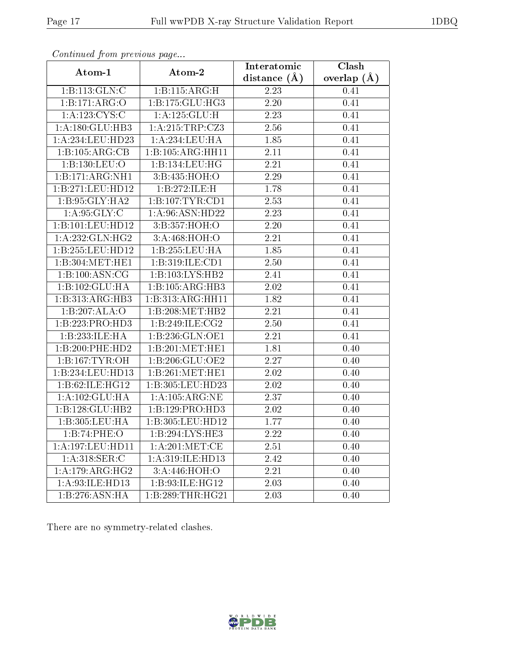| Continuatu from previous page |                                                | Interatomic       | Clash           |  |
|-------------------------------|------------------------------------------------|-------------------|-----------------|--|
| Atom-1                        | Atom-2                                         | distance $(A)$    | overlap $(\AA)$ |  |
| 1:B:113:GLN:C                 | 1:B:115:ARG:H                                  | 2.23              | 0.41            |  |
| 1:B:171:ARG:O                 | 1:B:175:GLU:HG3                                | 2.20              | 0.41            |  |
| 1: A: 123: CYS:C              | 1:A:125:GLU:H                                  | 2.23              | 0.41            |  |
| 1:A:180:GLU:HB3               | 1:A:215:TRP:CZ3                                | 2.56              | 0.41            |  |
| 1:A:234:LEU:HD23              | 1:A:234:LEU:HA                                 | 1.85              | 0.41            |  |
| 1:B:105:ARG:CB                | 1:B:105:ARG:HH11                               | 2.11              | 0.41            |  |
| 1:B:130:LEU:O                 | 1:B:134:LEU:HG                                 | 2.21              | 0.41            |  |
| 1:B:171:ARG:NH1               | 3:B:435:HOH:O                                  | 2.29              | 0.41            |  |
| 1:B:271:LEU:HD12              | 1:B:272:ILE:H                                  | $\overline{1}.78$ | 0.41            |  |
| 1:B:95:GLY:HA2                | 1:B:107:TYR:CD1                                | 2.53              | 0.41            |  |
| 1: A:95: GLY: C               | 1:A:96:ASN:HD22                                | 2.23              | 0.41            |  |
| 1:B:101:LEU:HD12              | 3:B:357:HOH:O                                  | 2.20              | 0.41            |  |
| 1:A:232:GLN:HG2               | 3:A:468:HOH:O                                  | 2.21              | 0.41            |  |
| 1:B:255:LEU:HD12              | 1:B:255:LEU:HA                                 | 1.85              | 0.41            |  |
| 1:B:304:MET:HE1               | 1:B:319:ILE:CD1                                | 2.50              | 0.41            |  |
| 1:B:100:ASN:CG                | 1:B:103:LYS:HB2                                | 2.41              | 0.41            |  |
| 1:B:102:GLU:HA                | 1:B:105:ARG:HB3                                | 2.02              | 0.41            |  |
| 1:B:313:ARG:HB3               | 1:B:313:ARG:HH11                               | 1.82              | 0.41            |  |
| 1:B:207:ALA:O                 | 1:B:208:MET:HB2                                | 2.21              | 0.41            |  |
| 1:B:223:PRO:HD3               | 1:B:249:ILE:CG2                                | 2.50              | 0.41            |  |
| 1:B:233:ILE:HA                | 1: B: 236: GLN: OE1                            | 2.21              | 0.41            |  |
| 1:B:200:PHE:HD2               | $1:B:201:\overline{\mathrm{MET}:\mathrm{HE1}}$ | 1.81              | 0.40            |  |
| 1: B: 167: TYR: OH            | 1:B:206:GLU:OE2                                | 2.27              | 0.40            |  |
| 1:B:234:LEU:HD13              | 1:B:261:MET:HE1                                | 2.02              | 0.40            |  |
| 1:B:62:ILE:HG12               | 1:B:305:LEU:HD23                               | 2.02              | 0.40            |  |
| 1:A:102:GLU:HA                | 1:A:105:ARG:NE                                 | 2.37              | 0.40            |  |
| 1:B:128:GLU:HB2               | 1:B:129:PRO:HD3                                | 2.02              | 0.40            |  |
| 1:B:305:LEU:HA                | 1:B:305:LEU:HD12                               | 1.77              | 0.40            |  |
| 1:B:74:PHE:O                  | 1:B:294:LYS:HE3                                | 2.22              | 0.40            |  |
| 1:A:197:LEU:HD11              | 1: A:201:MET:CE                                | 2.51              | 0.40            |  |
| 1:A:318:SER:C                 | 1:A:319:ILE:HD13                               | $\overline{2}.42$ | 0.40            |  |
| 1:A:179:ARG:HG2               | 3:A:446:HOH:O                                  | 2.21              | 0.40            |  |
| 1:A:93:ILE:HD13               | 1:B:93:ILE:HG12                                | 2.03              | 0.40            |  |
| 1:B:276:ASN:HA                | 1:B:289:THR:HG21                               | 2.03              | 0.40            |  |

There are no symmetry-related clashes.

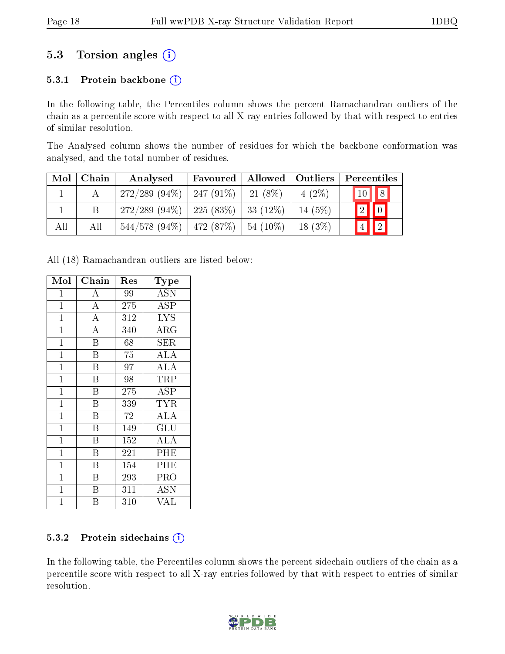### 5.3 Torsion angles  $(i)$

#### 5.3.1 Protein backbone  $(i)$

In the following table, the Percentiles column shows the percent Ramachandran outliers of the chain as a percentile score with respect to all X-ray entries followed by that with respect to entries of similar resolution.

The Analysed column shows the number of residues for which the backbone conformation was analysed, and the total number of residues.

| Mol | Chain | Analysed                                  | Favoured | Allowed     | $\vert$ Outliers | Percentiles                |
|-----|-------|-------------------------------------------|----------|-------------|------------------|----------------------------|
|     |       | $272/289$ (94\%)   247 (91\%)             |          | $-21(8\%)$  | $4(2\%)$         | $10$   $8$                 |
|     |       | $272/289$ (94\%)   225 (83\%)   33 (12\%) |          |             | 14 $(5%)$        | $\boxed{2}$ 0              |
| All | All   | $544/578$ (94\%)   472 (87\%)             |          | $154(10\%)$ | 18(3%)           | $\boxed{2}$<br>$ \bar{4} $ |

All (18) Ramachandran outliers are listed below:

| Mol          | ${\bf Chain}$           | Res | Type                    |
|--------------|-------------------------|-----|-------------------------|
| $\mathbf 1$  | А                       | 99  | <b>ASN</b>              |
| $\mathbf{1}$ | $\overline{\rm A}$      | 275 | ASP                     |
| $\mathbf 1$  | $\overline{\rm A}$      | 312 | $\overline{\text{LYS}}$ |
| $\mathbf 1$  | $\overline{\rm A}$      | 340 | $\rm{ARG}$              |
| $\mathbf 1$  | $\overline{\mathrm{B}}$ | 68  | ${\rm SER}$             |
| $\mathbf{1}$ | $\overline{\mathrm{B}}$ | 75  | ALA                     |
| $\mathbf 1$  | $\overline{B}$          | 97  | ALA                     |
| $\mathbf{1}$ | $\overline{\mathrm{B}}$ | 98  | TRP                     |
| $\mathbf{1}$ | $\overline{\mathrm{B}}$ | 275 | ASP                     |
| $\mathbf{1}$ | $\overline{B}$          | 339 | TYR                     |
| $\mathbf{1}$ | $\boldsymbol{B}$        | 72  | ALA                     |
| $\mathbf 1$  | $\overline{B}$          | 149 | GLU                     |
| $\mathbf 1$  | B                       | 152 | <b>ALA</b>              |
| $\mathbf{1}$ | $\overline{B}$          | 221 | PHE                     |
| $\mathbf{1}$ | B                       | 154 | PHE                     |
| $\mathbf 1$  | Β                       | 293 | PRO                     |
| $\mathbf{1}$ | Β                       | 311 | ASN                     |
| $\mathbf 1$  | В                       | 310 | VAL                     |

#### 5.3.2 Protein sidechains  $(i)$

In the following table, the Percentiles column shows the percent sidechain outliers of the chain as a percentile score with respect to all X-ray entries followed by that with respect to entries of similar resolution.

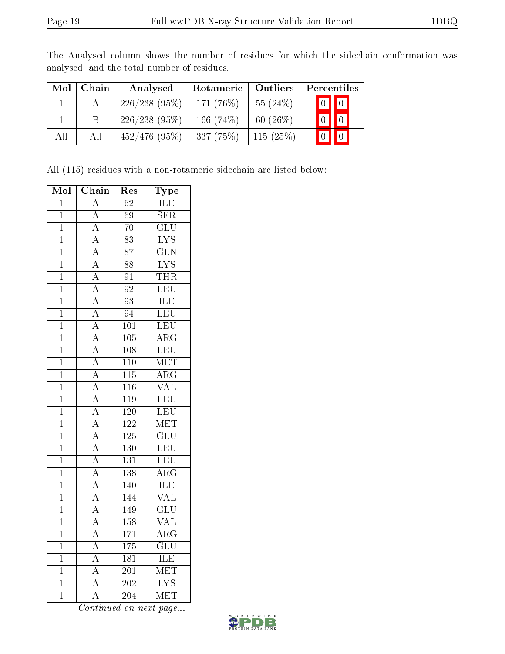| Mol | Chain | Analysed         | Rotameric   | Outliers    | Percentiles |                         |
|-----|-------|------------------|-------------|-------------|-------------|-------------------------|
|     |       | 226/238(95%)     | 171 (76\%)  | 55 $(24%)$  |             | $\boxed{0}$ $\boxed{0}$ |
|     |       | 226/238(95%)     | 166 $(74%)$ | 60 $(26\%)$ |             | $\blacksquare$          |
| All | All   | $452/476$ (95\%) | $-337(75%)$ | 115(25%)    |             | $\overline{0}$          |

The Analysed column shows the number of residues for which the sidechain conformation was analysed, and the total number of residues.

All (115) residues with a non-rotameric sidechain are listed below:

| Mol            | Chain                               | Res              | $\overline{\text{Type}}$ |
|----------------|-------------------------------------|------------------|--------------------------|
| $\overline{1}$ | $\overline{\rm A}$                  | $\overline{62}$  | ILE                      |
| $\overline{1}$ | $\overline{A}$                      | $\overline{69}$  | $\overline{\text{SER}}$  |
| $\mathbf{1}$   | $\overline{\rm A}$                  | 70               | $\overline{\text{GLU}}$  |
| $\overline{1}$ | $\overline{A}$                      | $\overline{83}$  | $\overline{\text{LYS}}$  |
| $\mathbf 1$    | $\overline{\rm A}$                  | 87               | $\overline{\text{GLN}}$  |
| $\mathbf 1$    | $\overline{\rm A}$                  | $\overline{8}8$  | $\overline{\text{LYS}}$  |
| $\overline{1}$ | $\overline{A}$                      | $\overline{91}$  | THR                      |
| $\mathbf{1}$   | $\frac{\overline{A}}{A}$            | $\overline{92}$  | LEU                      |
| $\overline{1}$ |                                     | $\overline{93}$  | <b>ILE</b>               |
| $\mathbf{1}$   | $\overline{\rm A}$                  | 94               | LEU                      |
| $\mathbf 1$    | $\overline{\rm A}$                  | $\overline{101}$ | LEU                      |
| $\overline{1}$ | $\overline{A}$                      | $\overline{105}$ | $\overline{\text{ARG}}$  |
| $\overline{1}$ | $\frac{\overline{A}}{\overline{A}}$ | 108              | LEU                      |
| $\overline{1}$ |                                     | $\overline{110}$ | MET                      |
| $\mathbf{1}$   | $\overline{\rm A}$                  | 115              | $\overline{\rm ARG}$     |
| $\overline{1}$ | $\overline{A}$                      | $\overline{116}$ | $\overline{\text{VAL}}$  |
| $\overline{1}$ | $\overline{A}$                      | $\overline{119}$ | LEU                      |
| $\overline{1}$ | $\overline{A}$                      | $\overline{120}$ | LEU                      |
| $\overline{1}$ | $\overline{A}$                      | $\overline{122}$ | MET                      |
| $\mathbf{1}$   | $\overline{A}$                      | 125              | $\overline{\text{GLU}}$  |
| $\mathbf{1}$   | $\overline{A}$                      | $\overline{130}$ | LEU                      |
| $\mathbf{1}$   | $\overline{A}$                      | $\overline{131}$ | LEU                      |
| $\overline{1}$ | $\overline{A}$                      | $\overline{138}$ | $\overline{\rm{ARG}}$    |
| $\overline{1}$ | $\overline{A}$                      | 140              | ILE                      |
| $\mathbf{1}$   | $\overline{\rm A}$                  | 144              | $\overline{\text{VAL}}$  |
| $\overline{1}$ | $\overline{A}$                      | $\overline{149}$ | $\overline{{\rm GLU}}$   |
| $\mathbf 1$    | $\overline{A}$                      | $\overline{158}$ | $\overline{\text{VAL}}$  |
| $\overline{1}$ | $\overline{A}$                      | $\overline{171}$ | $\overline{\rm{ARG}}$    |
| $\overline{1}$ | $\overline{A}$                      | 175              | $\overline{\text{GLU}}$  |
| $\mathbf 1$    | $\overline{\rm A}$                  | 181              | ILE                      |
| $\overline{1}$ | $\overline{\rm A}$                  | $\overline{201}$ | MET                      |
| $\mathbf{1}$   | $\overline{\rm A}$                  | $\overline{202}$ | $\overline{\text{LYS}}$  |
| $\overline{1}$ | $\overline{\rm A}$                  | $\overline{204}$ | $\overline{\text{MET}}$  |

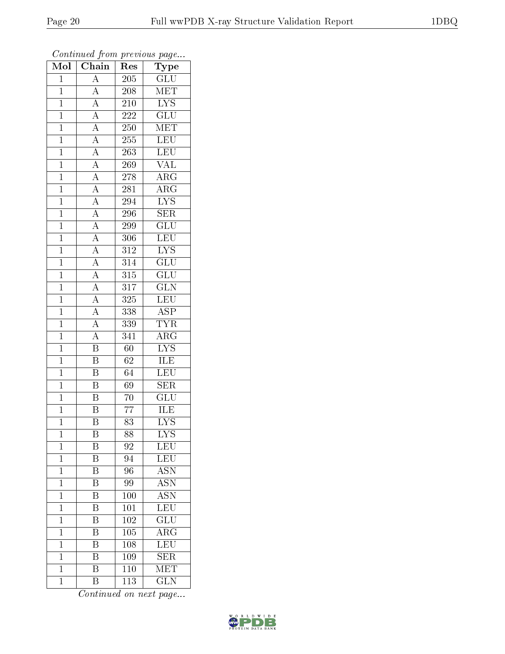| Mol            | $\overline{\text{Chain}}$                                                                                   | Res                         | $r \sim r$<br>Type        |
|----------------|-------------------------------------------------------------------------------------------------------------|-----------------------------|---------------------------|
| $\mathbf 1$    | $\overline{A}$                                                                                              | 205                         | $\overline{\text{GLU}}$   |
| $\overline{1}$ | $\overline{A}$                                                                                              | 208                         | MET                       |
| $\overline{1}$ | $\overline{A}$                                                                                              | 210                         | $\overline{\text{LYS}}$   |
| $\mathbf{1}$   |                                                                                                             | 222                         | $\overline{\text{GLU}}$   |
| $\mathbf{1}$   | $\frac{\overline{A}}{\overline{A}}$                                                                         | 250                         | MET                       |
| $\mathbf 1$    |                                                                                                             | 255                         | <b>LEU</b>                |
| $\mathbf 1$    | $\frac{\overline{A}}{\overline{A}}$                                                                         | 263                         | LEU                       |
| $\overline{1}$ |                                                                                                             | 269                         | $\overline{\text{VAL}}$   |
| $\mathbf{1}$   | $\frac{\overline{A}}{\overline{A}}$                                                                         | 278                         | $\overline{\rm{ARG}}$     |
| $\overline{1}$ |                                                                                                             | 281                         | $\overline{\rm{ARG}}$     |
| $\mathbf{1}$   | $\frac{\overline{A}}{\overline{A}}$                                                                         | 294                         | $\overline{\text{LYS}}$   |
| $\overline{1}$ |                                                                                                             | 296                         | $\overline{\text{SER}}$   |
| $\mathbf{1}$   |                                                                                                             | 299                         | GLU                       |
| $\mathbf{1}$   | $\frac{\overline{A}}{\overline{A}}$ $\frac{\overline{A}}{\overline{A}}$ $\frac{\overline{A}}{\overline{A}}$ | 306                         | <b>LEU</b>                |
| $\overline{1}$ |                                                                                                             | $3\overline{1}\overline{2}$ | $\overline{\text{LYS}}$   |
| $\mathbf{1}$   |                                                                                                             | 314                         | $\overline{\text{GLU}}$   |
| $\overline{1}$ |                                                                                                             | $\overline{315}$            | $\overline{{\rm GLU}}$    |
| $\mathbf{1}$   |                                                                                                             | $\overline{3}17$            | <b>GLN</b>                |
| $\mathbf{1}$   |                                                                                                             | 325                         | LEU                       |
| $\mathbf 1$    | $\frac{\overline{A}}{\overline{A}}$                                                                         | 338                         | $\overline{\text{ASP}}$   |
| $\mathbf{1}$   |                                                                                                             | 339                         | <b>TYR</b>                |
| $\overline{1}$ | $\overline{A}$                                                                                              | 341                         | $\overline{\rm ARG}$      |
| $\mathbf{1}$   | $\overline{\mathrm{B}}$                                                                                     | 60                          | $\overline{\rm LYS}$      |
| $\mathbf{1}$   | $\overline{\mathrm{B}}$                                                                                     | 62                          | <b>ILE</b>                |
| $\mathbf{1}$   | $\overline{\mathrm{B}}$                                                                                     | 64                          | LEU                       |
| $\mathbf 1$    | $\overline{\mathrm{B}}$                                                                                     | 69                          | <b>SER</b>                |
| $\overline{1}$ | $\overline{\mathrm{B}}$                                                                                     | $\overline{70}$             | $\overline{\text{GLU}}$   |
| $\mathbf{1}$   | $\overline{\mathrm{B}}$                                                                                     | 77                          | ILE                       |
| $\overline{1}$ | $\overline{\mathrm{B}}$                                                                                     | $\overline{83}$             | $\overline{\mathrm{LYS}}$ |
| 1              | Β                                                                                                           | 88                          | $LYS$                     |
| $\mathbf 1$    | Β                                                                                                           | 92                          | $\textrm{LEU}$            |
| $\mathbf{1}$   | $\overline{\mathbf{B}}$                                                                                     | 94                          | <b>LEU</b>                |
| $\mathbf 1$    | B                                                                                                           | 96                          | <b>ASN</b>                |
| $\mathbf{1}$   | $\overline{\mathrm{B}}$                                                                                     | 99                          | $\overline{\mathrm{ASN}}$ |
| $\mathbf{1}$   | B                                                                                                           | 100                         | $\overline{\mathrm{ASN}}$ |
| $\mathbf 1$    | $\overline{\mathrm{B}}$                                                                                     | $\overline{101}$            | LEU                       |
| $\mathbf 1$    | $\overline{\mathrm{B}}$                                                                                     | 102                         | GLU                       |
| $\mathbf 1$    | B                                                                                                           | 105                         | $\rm{ARG}$                |
| $\mathbf 1$    | Β                                                                                                           | 108                         | LEU                       |
| $\mathbf 1$    | $\overline{\mathrm{B}}$                                                                                     | 109                         | <b>SER</b>                |
| $\mathbf 1$    | $\overline{\mathrm{B}}$                                                                                     | 110                         | $\overline{\text{MET}}$   |
| $\mathbf 1$    | $\overline{\mathrm{B}}$                                                                                     | 113                         | <b>GLN</b>                |

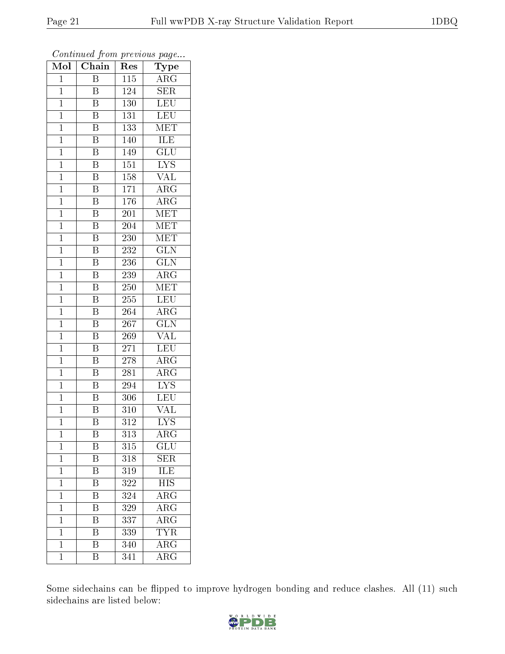| Mol            | $\overline{\text{C}}$ hain | Res              | Type                      |
|----------------|----------------------------|------------------|---------------------------|
| $\mathbf{1}$   | $\overline{\mathrm{B}}$    | 115              | ARG                       |
| $\mathbf{1}$   | $\boldsymbol{B}$           | 124              | <b>SER</b>                |
| $\mathbf{1}$   | $\overline{\mathrm{B}}$    | 130              | $\overline{\text{LEU}}$   |
| $\mathbf{1}$   | $\boldsymbol{B}$           | 131              | <b>LEU</b>                |
| $\mathbf{1}$   | $\overline{\mathrm{B}}$    | 133              | MET                       |
| $\mathbf{1}$   | Β                          | 140              | ILE                       |
| $\mathbf{1}$   | B                          | 149              | $\overline{\text{GLU}}$   |
| $\mathbf{1}$   | $\overline{\mathrm{B}}$    | 151              | <b>LYS</b>                |
| $\mathbf{1}$   | $\overline{\mathrm{B}}$    | 158              | <b>VAL</b>                |
| $\mathbf{1}$   | $\overline{\mathrm{B}}$    | 171              | $\overline{\rm{ARG}}$     |
| $\mathbf{1}$   | $\overline{\rm B}$         | $\overline{176}$ | $\overline{\rm{ARG}}$     |
| $\mathbf{1}$   | $\overline{\mathrm{B}}$    | 201              | MET                       |
| $\mathbf{1}$   | $\overline{\mathrm{B}}$    | 204              | $\overline{\text{MET}}$   |
| $\mathbf{1}$   | $\overline{\rm B}$         | 230              | <b>MET</b>                |
| $\overline{1}$ | $\overline{\mathrm{B}}$    | 232              | $\overline{\text{GLN}}$   |
| $\mathbf 1$    | $\overline{\mathrm{B}}$    | 236              | $\overline{\text{GLN}}$   |
| $\mathbf 1$    | $\overline{\mathrm{B}}$    | 239              | $\rm{ARG}$                |
| $\mathbf{1}$   | $\overline{\mathrm{B}}$    | 250              | MET                       |
| $\mathbf 1$    | $\overline{\mathrm{B}}$    | 255              | <b>LEU</b>                |
| $\mathbf{1}$   | $\overline{\mathrm{B}}$    | $\overline{264}$ | $\overline{\text{ARG}}$   |
| $\mathbf{1}$   | $\overline{\mathrm{B}}$    | 267              | <b>GLN</b>                |
| $\mathbf{1}$   | $\overline{\mathrm{B}}$    | 269              | $\overline{\text{VAL}}$   |
| $\mathbf{1}$   | $\boldsymbol{B}$           | 271              | <b>LEU</b>                |
| $\mathbf{1}$   | $\overline{\mathrm{B}}$    | 278              | $\widehat{\text{ARG}}$    |
| $\mathbf{1}$   | Β                          | 281              | $\rm{ARG}$                |
| $\mathbf{1}$   | B                          | 294              | $\overline{\text{LYS}}$   |
| $\mathbf 1$    | $\overline{\mathrm{B}}$    | 306              | LEU                       |
| $\mathbf{1}$   | $\overline{\mathrm{B}}$    | 310              | VAL                       |
| $\mathbf{1}$   | $\overline{\mathrm{B}}$    | $\overline{312}$ | $\overline{\mathrm{LYS}}$ |
| $\mathbf 1$    | Β                          | $3\overline{13}$ | $\overline{\rm ARG}$      |
| $\mathbf{1}$   | Β                          | 315              | $\widetilde{{\rm GLU}}$   |
| $\mathbf{1}$   | $\overline{\mathrm{B}}$    | 318              | SER                       |
| $\mathbf{1}$   | B                          | 319              | ILE                       |
| $\overline{1}$ | $\overline{\mathrm{B}}$    | 322              | $\overline{\text{HIS}}$   |
| $\mathbf{1}$   | Β                          | 324              | ARG                       |
| $\mathbf{1}$   | $\overline{\mathrm{B}}$    | 329              | $\overline{\rm{ARG}}$     |
| $\mathbf{1}$   | B                          | 337              | ARG                       |
| $\mathbf 1$    | B                          | 339              | <b>TYR</b>                |
| $\mathbf{1}$   | $\overline{\mathrm{B}}$    | 340              | $\overline{\rm{ARG}}$     |
| $\mathbf{1}$   | B                          | 341              | $\rm{ARG}$                |

Some sidechains can be flipped to improve hydrogen bonding and reduce clashes. All (11) such sidechains are listed below:

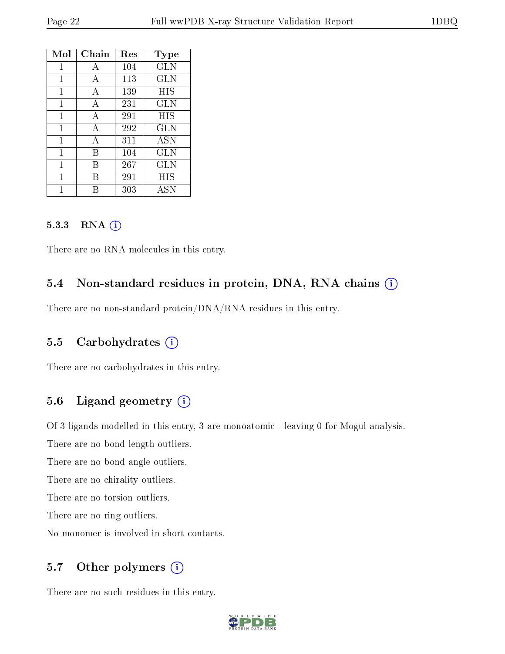| Mol | Chain | Res | <b>Type</b>  |
|-----|-------|-----|--------------|
| 1   | A     | 104 | GLN          |
| 1   | A     | 113 | GLN          |
| 1   | A     | 139 | HIS          |
| 1   | A     | 231 | GLN          |
| 1   | A     | 291 | <b>HIS</b>   |
| 1   | A     | 292 | $_{\rm GLN}$ |
| 1   | A     | 311 | ASN          |
| 1   | В     | 104 | GLN          |
| 1   | В     | 267 | <b>GLN</b>   |
| 1   | R     | 291 | HIS          |
|     |       | 303 | ASN          |

#### 5.3.3 RNA (1)

There are no RNA molecules in this entry.

#### 5.4 Non-standard residues in protein, DNA, RNA chains (i)

There are no non-standard protein/DNA/RNA residues in this entry.

#### 5.5 Carbohydrates (i)

There are no carbohydrates in this entry.

#### 5.6 Ligand geometry (i)

Of 3 ligands modelled in this entry, 3 are monoatomic - leaving 0 for Mogul analysis.

There are no bond length outliers.

There are no bond angle outliers.

There are no chirality outliers.

There are no torsion outliers.

There are no ring outliers.

No monomer is involved in short contacts.

#### 5.7 [O](https://www.wwpdb.org/validation/2017/XrayValidationReportHelp#nonstandard_residues_and_ligands)ther polymers (i)

There are no such residues in this entry.

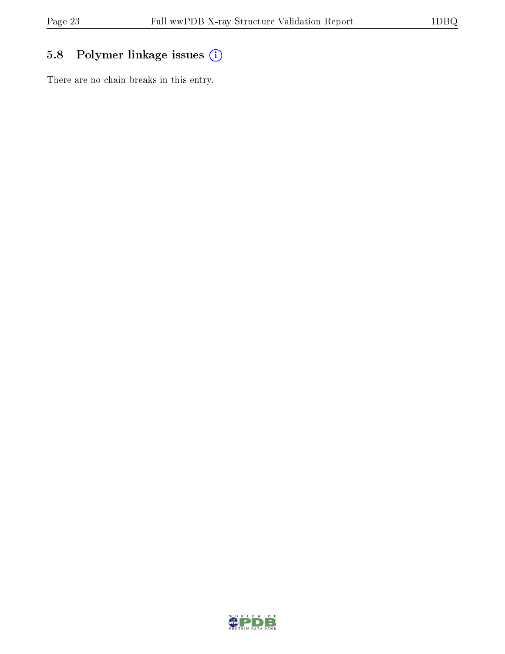## 5.8 Polymer linkage issues (i)

There are no chain breaks in this entry.